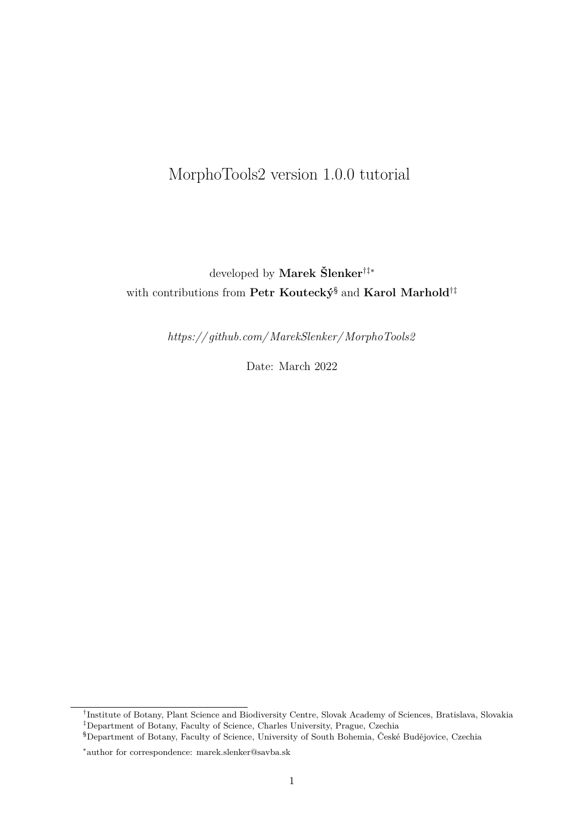# MorphoTools2 version 1.0.0 tutorial

# developed by **Marek Šlenker**†‡∗ with contributions from **Petr Koutecký**§ and **Karol Marhold**†‡

*[https:// github.com/MarekSlenker/MorphoTools2](https://github.com/MarekSlenker/MorphoTools2)*

Date: March 2022

<sup>†</sup> Institute of Botany, Plant Science and Biodiversity Centre, Slovak Academy of Sciences, Bratislava, Slovakia ‡Department of Botany, Faculty of Science, Charles University, Prague, Czechia

<sup>§</sup>Department of Botany, Faculty of Science, University of South Bohemia, České Budějovice, Czechia

<sup>∗</sup> author for correspondence: marek.slenker@savba.sk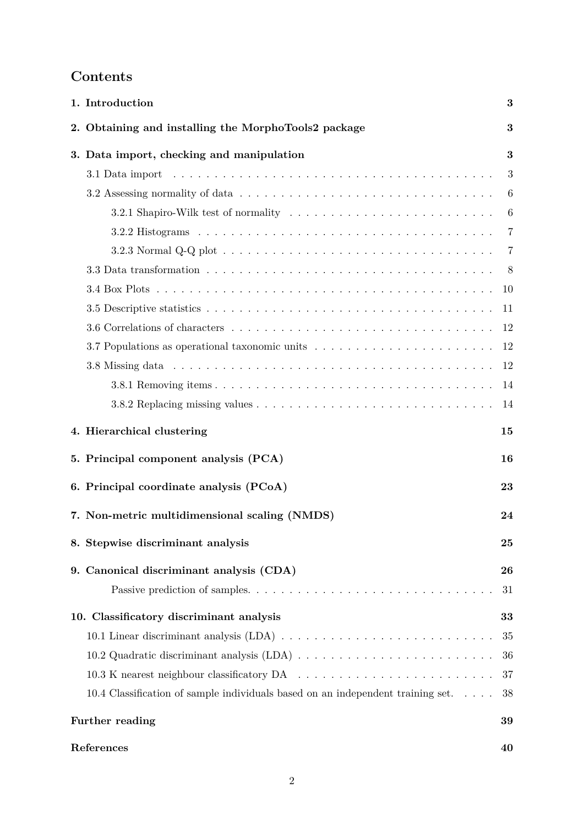## **Contents**

| 1. Introduction<br>3                                                                                               |    |  |  |  |  |  |  |  |  |  |
|--------------------------------------------------------------------------------------------------------------------|----|--|--|--|--|--|--|--|--|--|
| 2. Obtaining and installing the MorphoTools2 package                                                               | 3  |  |  |  |  |  |  |  |  |  |
| 3. Data import, checking and manipulation                                                                          | 3  |  |  |  |  |  |  |  |  |  |
| 3.1 Data import                                                                                                    | 3  |  |  |  |  |  |  |  |  |  |
|                                                                                                                    | 6  |  |  |  |  |  |  |  |  |  |
|                                                                                                                    | 6  |  |  |  |  |  |  |  |  |  |
|                                                                                                                    | 7  |  |  |  |  |  |  |  |  |  |
|                                                                                                                    | 7  |  |  |  |  |  |  |  |  |  |
| 3.3 Data transformation $\ldots \ldots \ldots \ldots \ldots \ldots \ldots \ldots \ldots \ldots \ldots \ldots$<br>8 |    |  |  |  |  |  |  |  |  |  |
|                                                                                                                    | 10 |  |  |  |  |  |  |  |  |  |
|                                                                                                                    | 11 |  |  |  |  |  |  |  |  |  |
|                                                                                                                    | 12 |  |  |  |  |  |  |  |  |  |
|                                                                                                                    | 12 |  |  |  |  |  |  |  |  |  |
|                                                                                                                    | 12 |  |  |  |  |  |  |  |  |  |
|                                                                                                                    | 14 |  |  |  |  |  |  |  |  |  |
|                                                                                                                    | 14 |  |  |  |  |  |  |  |  |  |
| 4. Hierarchical clustering                                                                                         | 15 |  |  |  |  |  |  |  |  |  |
| 5. Principal component analysis (PCA)                                                                              | 16 |  |  |  |  |  |  |  |  |  |
| 6. Principal coordinate analysis (PCoA)                                                                            | 23 |  |  |  |  |  |  |  |  |  |
| 7. Non-metric multidimensional scaling (NMDS)                                                                      | 24 |  |  |  |  |  |  |  |  |  |
| 8. Stepwise discriminant analysis                                                                                  | 25 |  |  |  |  |  |  |  |  |  |
| 9. Canonical discriminant analysis (CDA)                                                                           | 26 |  |  |  |  |  |  |  |  |  |
|                                                                                                                    | 31 |  |  |  |  |  |  |  |  |  |
| 10. Classificatory discriminant analysis                                                                           | 33 |  |  |  |  |  |  |  |  |  |
|                                                                                                                    | 35 |  |  |  |  |  |  |  |  |  |
|                                                                                                                    | 36 |  |  |  |  |  |  |  |  |  |
|                                                                                                                    | 37 |  |  |  |  |  |  |  |  |  |
| 10.4 Classification of sample individuals based on an independent training set<br>38                               |    |  |  |  |  |  |  |  |  |  |
| Further reading<br>39                                                                                              |    |  |  |  |  |  |  |  |  |  |
| References                                                                                                         | 40 |  |  |  |  |  |  |  |  |  |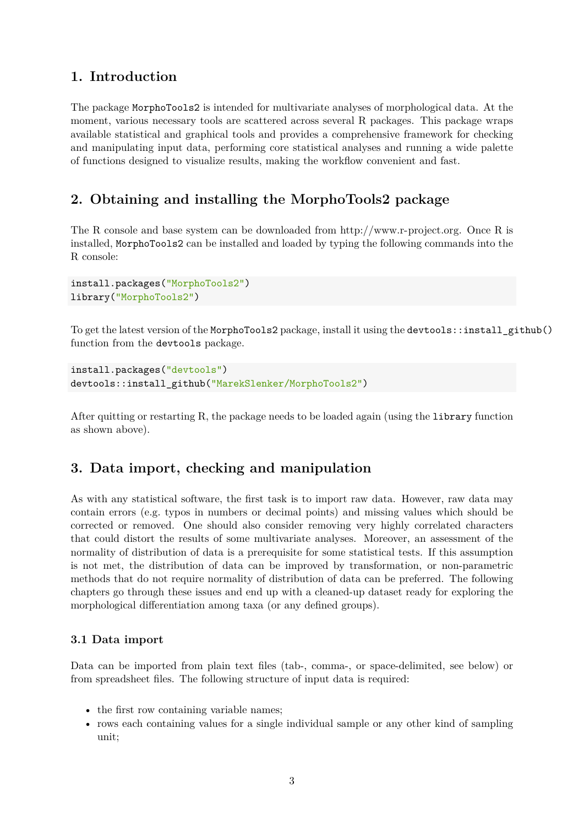## <span id="page-2-0"></span>**1. Introduction**

The package MorphoTools2 is intended for multivariate analyses of morphological data. At the moment, various necessary tools are scattered across several R packages. This package wraps available statistical and graphical tools and provides a comprehensive framework for checking and manipulating input data, performing core statistical analyses and running a wide palette of functions designed to visualize results, making the workflow convenient and fast.

## <span id="page-2-1"></span>**2. Obtaining and installing the MorphoTools2 package**

The R console and base system can be downloaded from [http://www.r-project.org.](http://www.r-project.org) Once R is installed, MorphoTools2 can be installed and loaded by typing the following commands into the R console:

```
install.packages("MorphoTools2")
library("MorphoTools2")
```
To get the latest version of the MorphoTools2 package, install it using the devtools::install\_github() function from the devtools package.

```
install.packages("devtools")
devtools::install_github("MarekSlenker/MorphoTools2")
```
After quitting or restarting R, the package needs to be loaded again (using the library function as shown above).

## <span id="page-2-2"></span>**3. Data import, checking and manipulation**

As with any statistical software, the first task is to import raw data. However, raw data may contain errors (e.g. typos in numbers or decimal points) and missing values which should be corrected or removed. One should also consider removing very highly correlated characters that could distort the results of some multivariate analyses. Moreover, an assessment of the normality of distribution of data is a prerequisite for some statistical tests. If this assumption is not met, the distribution of data can be improved by transformation, or non-parametric methods that do not require normality of distribution of data can be preferred. The following chapters go through these issues and end up with a cleaned-up dataset ready for exploring the morphological differentiation among taxa (or any defined groups).

### <span id="page-2-3"></span>**3.1 Data import**

Data can be imported from plain text files (tab-, comma-, or space-delimited, see below) or from spreadsheet files. The following structure of input data is required:

- the first row containing variable names;
- rows each containing values for a single individual sample or any other kind of sampling unit;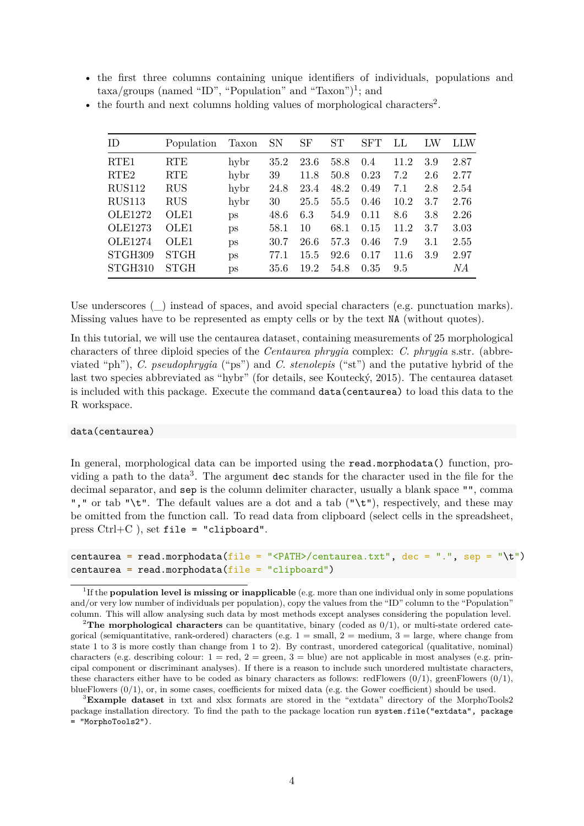• the first three columns containing unique identifiers of individuals, populations and  $\text{taxa/groups}$  (named "ID", "Population" and "Taxon")<sup>[1](#page-3-0)</sup>; and

| ID.              | Population       | Taxon | <b>SN</b> | SF   | <b>ST</b> | SFT  | LL   | LW  | LLW  |
|------------------|------------------|-------|-----------|------|-----------|------|------|-----|------|
| RTE <sub>1</sub> | RTE              | hybr  | 35.2      | 23.6 | 58.8      | 0.4  | 11.2 | 3.9 | 2.87 |
| RTE <sub>2</sub> | <b>RTE</b>       | hybr  | 39        | 11.8 | 50.8      | 0.23 | 7.2  | 2.6 | 2.77 |
| <b>RUS112</b>    | <b>RUS</b>       | hybr  | 24.8      | 23.4 | 48.2      | 0.49 | 7.1  | 2.8 | 2.54 |
| <b>RUS113</b>    | <b>RUS</b>       | hybr  | 30        | 25.5 | 55.5      | 0.46 | 10.2 | 3.7 | 2.76 |
| OLE1272          | OLE1             | ps    | 48.6      | 6.3  | 54.9      | 0.11 | 8.6  | 3.8 | 2.26 |
| <b>OLE1273</b>   | OLE1             | ps    | 58.1      | 10   | 68.1      | 0.15 | 11.2 | 3.7 | 3.03 |
| <b>OLE1274</b>   | OLE <sub>1</sub> | ps    | 30.7      | 26.6 | 57.3      | 0.46 | 7.9  | 3.1 | 2.55 |
| STGH309          | <b>STGH</b>      | ps    | 77.1      | 15.5 | 92.6      | 0.17 | 11.6 | 3.9 | 2.97 |
| STGH310          | STGH             | ps    | 35.6      | 19.2 | 54.8      | 0.35 | 9.5  |     | NΑ   |

• the fourth and next columns holding values of morphological characters<sup>[2](#page-3-1)</sup>.

Use underscores () instead of spaces, and avoid special characters (e.g. punctuation marks). Missing values have to be represented as empty cells or by the text NA (without quotes).

In this tutorial, we will use the centaurea dataset, containing measurements of 25 morphological characters of three diploid species of the *Centaurea phrygia* complex: *C. phrygia* s.str. (abbreviated "ph"), *C. pseudophrygia* ("ps") and *C. stenolepis* ("st") and the putative hybrid of the last two species abbreviated as "hybr" (for details, see Koutecký, 2015). The centaurea dataset is included with this package. Execute the command data(centaurea) to load this data to the R workspace.

#### data(centaurea)

In general, morphological data can be imported using the read.morphodata() function, pro-viding a path to the data<sup>[3](#page-3-2)</sup>. The argument dec stands for the character used in the file for the decimal separator, and sep is the column delimiter character, usually a blank space "", comma "," or tab "\t". The default values are a dot and a tab ("\t"), respectively, and these may be omitted from the function call. To read data from clipboard (select cells in the spreadsheet, press  $Ctrl + C$ ), set file = "clipboard".

```
centaurea = read.morphodata(file = "<PATH>/centaurea.txt", dec = ".", sep = "\t")
centaurea = read.morphodata(file = "clipboard")
```
<span id="page-3-0"></span><sup>&</sup>lt;sup>1</sup>If the **population level is missing or inapplicable** (e.g. more than one individual only in some populations and/or very low number of individuals per population), copy the values from the "ID" column to the "Population" column. This will allow analysing such data by most methods except analyses considering the population level.

<span id="page-3-1"></span><sup>&</sup>lt;sup>2</sup>The morphological characters can be quantitative, binary (coded as  $0/1$ ), or multi-state ordered categorical (semiquantitative, rank-ordered) characters (e.g.  $1 = \text{small}$ ,  $2 = \text{medium}$ ,  $3 = \text{large}$ , where change from state 1 to 3 is more costly than change from 1 to 2). By contrast, unordered categorical (qualitative, nominal) characters (e.g. describing colour:  $1 = \text{red}, 2 = \text{green}, 3 = \text{blue}$ ) are not applicable in most analyses (e.g. principal component or discriminant analyses). If there is a reason to include such unordered multistate characters, these characters either have to be coded as binary characters as follows: redFlowers  $(0/1)$ , greenFlowers  $(0/1)$ , blueFlowers (0/1), or, in some cases, coefficients for mixed data (e.g. the Gower coefficient) should be used.

<span id="page-3-2"></span><sup>3</sup>**Example dataset** in txt and xlsx formats are stored in the "extdata" directory of the MorphoTools2 package installation directory. To find the path to the package location run system.file("extdata", package = "MorphoTools2").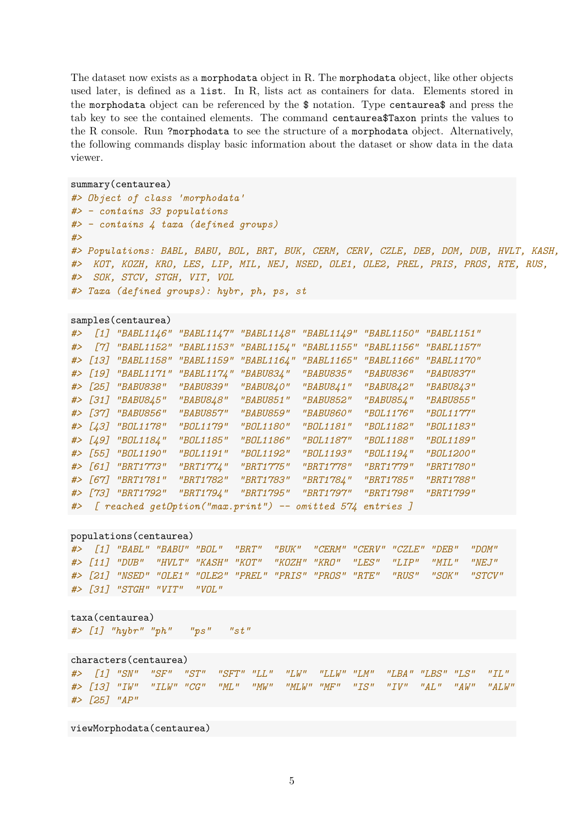The dataset now exists as a morphodata object in R. The morphodata object, like other objects used later, is defined as a list. In R, lists act as containers for data. Elements stored in the morphodata object can be referenced by the \$ notation. Type centaurea\$ and press the tab key to see the contained elements. The command centaurea\$Taxon prints the values to the R console. Run ?morphodata to see the structure of a morphodata object. Alternatively, the following commands display basic information about the dataset or show data in the data viewer.

```
summary(centaurea)
```

```
#> Object of class 'morphodata'
#> - contains 33 populations
#> - contains 4 taxa (defined groups)
#>
#> Populations: BABL, BABU, BOL, BRT, BUK, CERM, CERV, CZLE, DEB, DOM, DUB, HVLT, KASH,
#> KOT, KOZH, KRO, LES, LIP, MIL, NEJ, NSED, OLE1, OLE2, PREL, PRIS, PROS, RTE, RUS,
#> SOK, STCV, STGH, VIT, VOL
#> Taxa (defined groups): hybr, ph, ps, st
```

```
samples(centaurea)
```

| # $>$ |                    | [1] "BABL1146" "BABL1147" "BABL1148" "BABL1149" |            |                                                              | "BABL1150" "BABL1151" |            |
|-------|--------------------|-------------------------------------------------|------------|--------------------------------------------------------------|-----------------------|------------|
| #     |                    | [7] "BABL1152" "BABL1153" "BABL1154"            |            | "BABL1155"                                                   | "BABL1156"            | "BABL1157" |
|       |                    | #> [13] "BABL1158" "BABL1159"                   | "BABL1164" | "BABL1165"                                                   | "BABL1166"            | "BABL1170" |
|       | #> [19] "BABL1171" | "BABL1174"                                      | "BABU834"  | "BABU835"                                                    | "BABU836"             | "BABU837"  |
|       | #> [25] "BABU838"  | "BABU839"                                       | "BABU840"  | "BABU841"                                                    | "BABU842"             | "BABU843"  |
|       | #> [31] "BABU845"  | "BABU848"                                       | "BABU851"  | <i>"BABU852"</i>                                             | "BABU854"             | "BABU855"  |
|       | #> [37] "BABU856"  | "BABU857"                                       | "BABU859"  | "BABU860"                                                    | "BOL1176"             | "BOL1177"  |
|       | #> [43] "BOL1178"  | "BOL1179"                                       | "BOL1180"  | "BOL1181"                                                    | "BOL1182"             | "BOL1183"  |
|       | #> [49] "BOL1184"  | "BOL1185"                                       | "BOL1186"  | "BOL1187"                                                    | "BOL1188"             | "BOL1189"  |
|       | #> [55] "BOL1190"  | "BOL1191"                                       | "BOL1192"  | "BOL1193"                                                    | "BOL1194"             | "BOL1200"  |
|       | #> [61] "BRT1773"  | "BRT1774"                                       | "BRT1775"  | "BRT1778"                                                    | "BRT1779"             | "BRT1780"  |
|       | #> [67] "BRT1781"  | "BRT1782"                                       | "BRT1783"  | "BRT1784"                                                    | "BRT1785"             | "BRT1788"  |
|       | #> [73] "BRT1792"  | "BRT1794"                                       | "BRT1795"  | "BRT1797"                                                    | "BRT1798"             | "BRT1799"  |
|       |                    |                                                 |            | #> [ reached getOption("max.print") -- omitted 574 entries ] |                       |            |

```
populations(centaurea)
```
*#> [1] "BABL" "BABU" "BOL" "BRT" "BUK" "CERM" "CERV" "CZLE" "DEB" "DOM" #> [11] "DUB" "HVLT" "KASH" "KOT" "KOZH" "KRO" "LES" "LIP" "MIL" "NEJ" #> [21] "NSED" "OLE1" "OLE2" "PREL" "PRIS" "PROS" "RTE" "RUS" "SOK" "STCV" #> [31] "STGH" "VIT" "VOL"*

taxa(centaurea) *#> [1] "hybr" "ph" "ps" "st"*

characters(centaurea) *#> [1] "SN" "SF" "ST" "SFT" "LL" "LW" "LLW" "LM" "LBA" "LBS" "LS" "IL" #> [13] "IW" "ILW" "CG" "ML" "MW" "MLW" "MF" "IS" "IV" "AL" "AW" "ALW" #> [25] "AP"*

viewMorphodata(centaurea)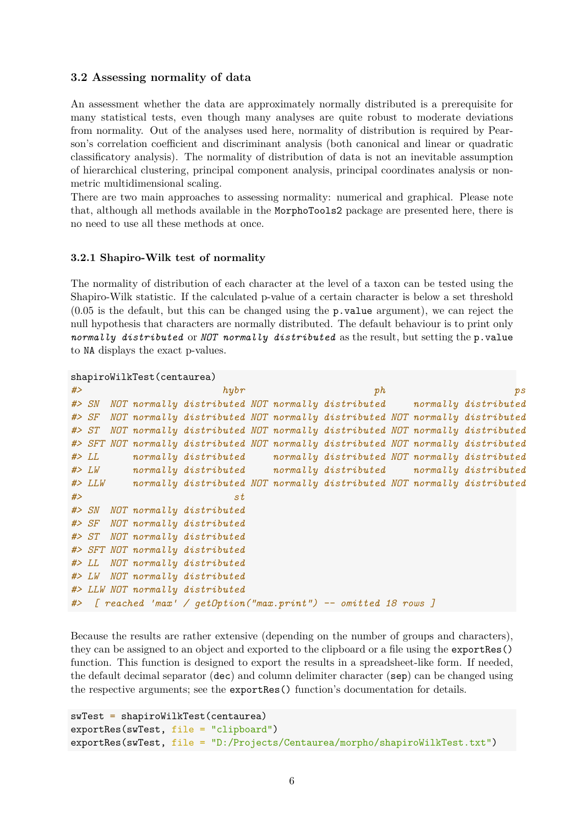### <span id="page-5-0"></span>**3.2 Assessing normality of data**

An assessment whether the data are approximately normally distributed is a prerequisite for many statistical tests, even though many analyses are quite robust to moderate deviations from normality. Out of the analyses used here, normality of distribution is required by Pearson's correlation coefficient and discriminant analysis (both canonical and linear or quadratic classificatory analysis). The normality of distribution of data is not an inevitable assumption of hierarchical clustering, principal component analysis, principal coordinates analysis or nonmetric multidimensional scaling.

There are two main approaches to assessing normality: numerical and graphical. Please note that, although all methods available in the MorphoTools2 package are presented here, there is no need to use all these methods at once.

### <span id="page-5-1"></span>**3.2.1 Shapiro-Wilk test of normality**

The normality of distribution of each character at the level of a taxon can be tested using the Shapiro-Wilk statistic. If the calculated p-value of a certain character is below a set threshold  $(0.05$  is the default, but this can be changed using the **p**. **value** argument), we can reject the null hypothesis that characters are normally distributed. The default behaviour is to print only *normally distributed* or *NOT normally distributed* as the result, but setting the p.value to NA displays the exact p-values.

```
shapiroWilkTest(centaurea)
```

| # |             |  | h y b r                                                                           |  | ph |  | $p_{\mathcal{S}}$ |
|---|-------------|--|-----------------------------------------------------------------------------------|--|----|--|-------------------|
|   | # > SN      |  | NOT normally distributed NOT normally distributed normally distributed            |  |    |  |                   |
|   | # > SF      |  | NOT normally distributed NOT normally distributed NOT normally distributed        |  |    |  |                   |
|   | # > ST      |  | NOT normally distributed NOT normally distributed NOT normally distributed        |  |    |  |                   |
|   |             |  | #> SFT NOT normally distributed NOT normally distributed NOT normally distributed |  |    |  |                   |
|   | #           |  | normally distributed normally distributed NOT normally distributed                |  |    |  |                   |
|   | $#$ > $LW$  |  | normally distributed normally distributed normally distributed                    |  |    |  |                   |
|   | $#$ > $LLW$ |  | normally distributed NOT normally distributed NOT normally distributed            |  |    |  |                   |
| # |             |  | st                                                                                |  |    |  |                   |
|   |             |  | #> SN NOT normally distributed                                                    |  |    |  |                   |
|   |             |  | #> SF NOT normally distributed                                                    |  |    |  |                   |
|   |             |  | #> ST NOT normally distributed                                                    |  |    |  |                   |
|   |             |  | #> SFT NOT normally distributed                                                   |  |    |  |                   |
|   |             |  | #> LL NOT normally distributed                                                    |  |    |  |                   |
|   |             |  | #> LW NOT normally distributed                                                    |  |    |  |                   |
|   |             |  | #> LLW NOT normally distributed                                                   |  |    |  |                   |
|   |             |  | #> [ reached 'max' / getOption("max.print") -- omitted 18 rows ]                  |  |    |  |                   |

Because the results are rather extensive (depending on the number of groups and characters), they can be assigned to an object and exported to the clipboard or a file using the exportRes() function. This function is designed to export the results in a spreadsheet-like form. If needed, the default decimal separator (dec) and column delimiter character (sep) can be changed using the respective arguments; see the exportRes() function's documentation for details.

```
swTest = shapiroWilkTest(centaurea)
exportRes(swTest, file = "clipboard")
exportRes(swTest, file = "D:/Projects/Centaurea/morpho/shapiroWilkTest.txt")
```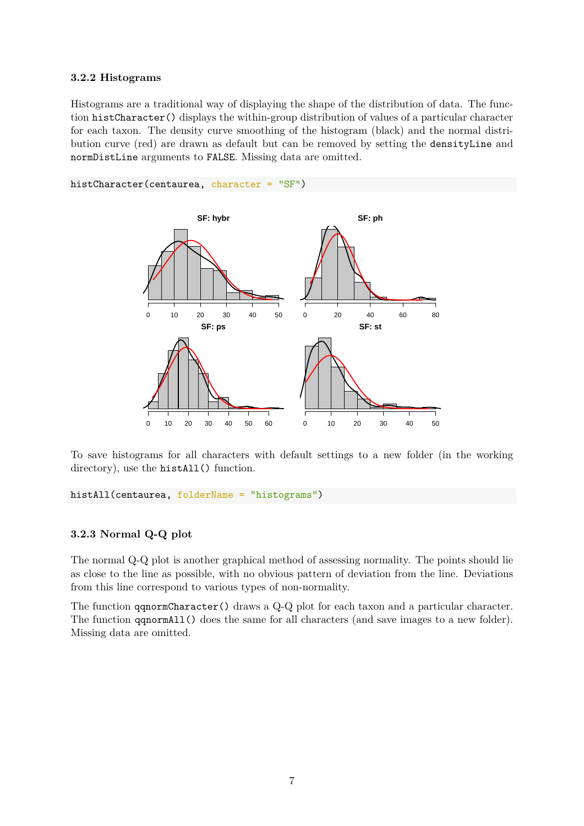### <span id="page-6-0"></span>**3.2.2 Histograms**

Histograms are a traditional way of displaying the shape of the distribution of data. The function histCharacter() displays the within-group distribution of values of a particular character for each taxon. The density curve smoothing of the histogram (black) and the normal distribution curve (red) are drawn as default but can be removed by setting the densityLine and normDistLine arguments to FALSE. Missing data are omitted.



To save histograms for all characters with default settings to a new folder (in the working directory), use the histAll() function.

histAll(centaurea, folderName = "histograms")

#### <span id="page-6-1"></span>**3.2.3 Normal Q-Q plot**

The normal Q-Q plot is another graphical method of assessing normality. The points should lie as close to the line as possible, with no obvious pattern of deviation from the line. Deviations from this line correspond to various types of non-normality.

The function qqnormCharacter() draws a Q-Q plot for each taxon and a particular character. The function qqnormAll() does the same for all characters (and save images to a new folder). Missing data are omitted.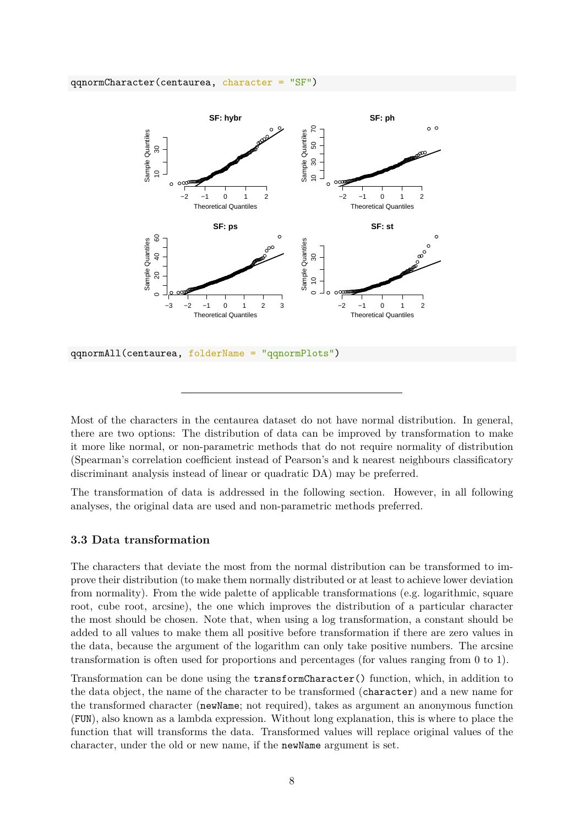#### qqnormCharacter(centaurea, character = "SF")



qqnormAll(centaurea, folderName = "qqnormPlots")

Most of the characters in the centaurea dataset do not have normal distribution. In general, there are two options: The distribution of data can be improved by transformation to make it more like normal, or non-parametric methods that do not require normality of distribution (Spearman's correlation coefficient instead of Pearson's and k nearest neighbours classificatory discriminant analysis instead of linear or quadratic DA) may be preferred.

The transformation of data is addressed in the following section. However, in all following analyses, the original data are used and non-parametric methods preferred.

#### <span id="page-7-0"></span>**3.3 Data transformation**

The characters that deviate the most from the normal distribution can be transformed to improve their distribution (to make them normally distributed or at least to achieve lower deviation from normality). From the wide palette of applicable transformations (e.g. logarithmic, square root, cube root, arcsine), the one which improves the distribution of a particular character the most should be chosen. Note that, when using a log transformation, a constant should be added to all values to make them all positive before transformation if there are zero values in the data, because the argument of the logarithm can only take positive numbers. The arcsine transformation is often used for proportions and percentages (for values ranging from 0 to 1).

Transformation can be done using the transformCharacter() function, which, in addition to the data object, the name of the character to be transformed (character) and a new name for the transformed character (newName; not required), takes as argument an anonymous function (FUN), also known as a lambda expression. Without long explanation, this is where to place the function that will transforms the data. Transformed values will replace original values of the character, under the old or new name, if the newName argument is set.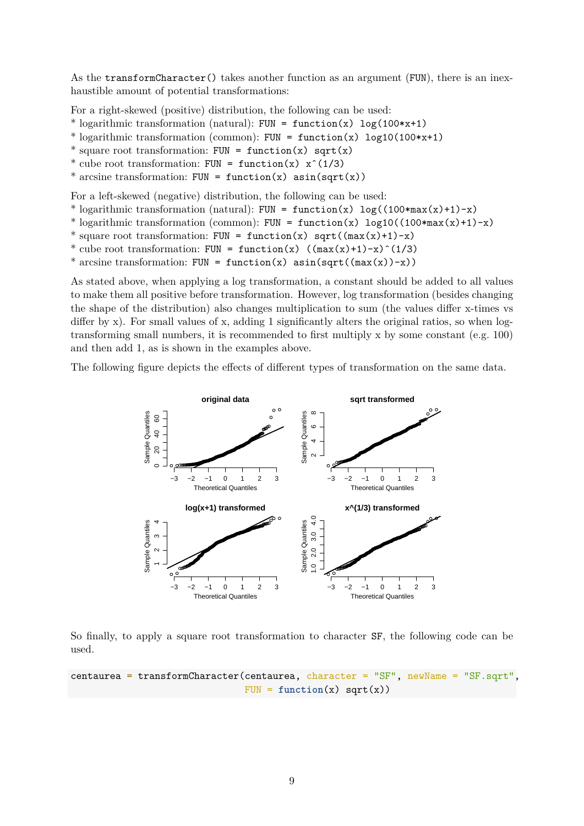As the transformCharacter() takes another function as an argument (FUN), there is an inexhaustible amount of potential transformations:

For a right-skewed (positive) distribution, the following can be used:

\* logarithmic transformation (natural): FUN = function(x)  $log(100*x+1)$ 

- \* logarithmic transformation (common): FUN =  $function(x)$  log10(100\*x+1)
- \* square root transformation: FUN =  $function(x)$  sqrt(x)
- \* cube root transformation: FUN =  $function(x)$   $x^(1/3)$
- \* arcsine transformation: FUN = function(x)  $asin(sqrt(x))$

For a left-skewed (negative) distribution, the following can be used:

- \* logarithmic transformation (natural): FUN = function(x)  $log((100*max(x)+1)-x)$
- \* logarithmic transformation (common): FUN =  $function(x)$  log10( $(100*max(x)+1)-x$ )
- \* square root transformation: FUN = function(x) sqrt( $(max(x)+1)-x$ )
- \* cube root transformation: FUN = function(x)  $((max(x)+1)-x)$ <sup>2</sup>(1/3)
- \* arcsine transformation: FUN = function(x)  $asin(sqrt((max(x))-x))$

As stated above, when applying a log transformation, a constant should be added to all values to make them all positive before transformation. However, log transformation (besides changing the shape of the distribution) also changes multiplication to sum (the values differ x-times vs differ by x). For small values of x, adding 1 significantly alters the original ratios, so when logtransforming small numbers, it is recommended to first multiply x by some constant (e.g. 100) and then add 1, as is shown in the examples above.

The following figure depicts the effects of different types of transformation on the same data.



So finally, to apply a square root transformation to character SF, the following code can be used.

```
centaurea = transformCharacter(centaurea, character = "SF", newName = "SF.sqrt",
                               FUN = function(x) sqrt(x))
```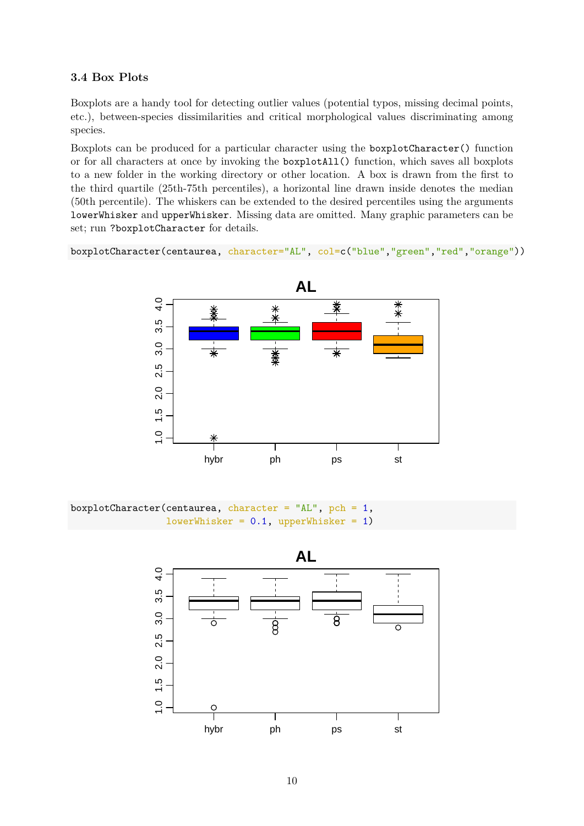### <span id="page-9-0"></span>**3.4 Box Plots**

Boxplots are a handy tool for detecting outlier values (potential typos, missing decimal points, etc.), between-species dissimilarities and critical morphological values discriminating among species.

Boxplots can be produced for a particular character using the boxplotCharacter() function or for all characters at once by invoking the boxplotAll() function, which saves all boxplots to a new folder in the working directory or other location. A box is drawn from the first to the third quartile (25th-75th percentiles), a horizontal line drawn inside denotes the median (50th percentile). The whiskers can be extended to the desired percentiles using the arguments lowerWhisker and upperWhisker. Missing data are omitted. Many graphic parameters can be set; run ?boxplotCharacter for details.

boxplotCharacter(centaurea, character="AL", col=c("blue","green","red","orange"))



boxplotCharacter(centaurea, character = "AL", pch =  $1$ ,  $lowerWhisker = 0.1, upperWhisker = 1)$ 

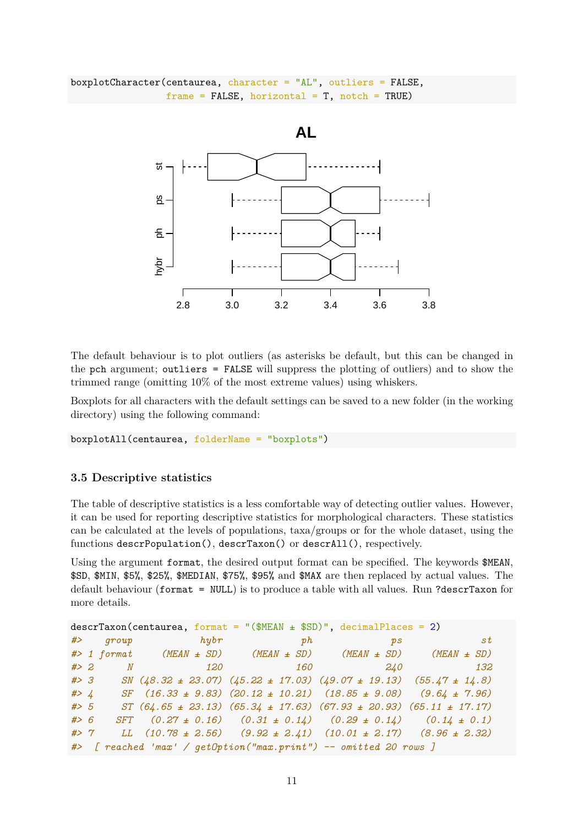```
boxplotCharacter(centaurea, character = "AL", outliers = FALSE,
                 frame = FALSE, horizontal = T, notch = TRUE)
```


The default behaviour is to plot outliers (as asterisks be default, but this can be changed in the pch argument; outliers = FALSE will suppress the plotting of outliers) and to show the trimmed range (omitting 10% of the most extreme values) using whiskers.

Boxplots for all characters with the default settings can be saved to a new folder (in the working directory) using the following command:

boxplotAll(centaurea, folderName = "boxplots")

#### <span id="page-10-0"></span>**3.5 Descriptive statistics**

The table of descriptive statistics is a less comfortable way of detecting outlier values. However, it can be used for reporting descriptive statistics for morphological characters. These statistics can be calculated at the levels of populations, taxa/groups or for the whole dataset, using the functions descrPopulation(), descrTaxon() or descrAll(), respectively.

Using the argument format, the desired output format can be specified. The keywords \$MEAN, \$SD, \$MIN, \$5%, \$25%, \$MEDIAN, \$75%, \$95% and \$MAX are then replaced by actual values. The default behaviour (format = NULL) is to produce a table with all values. Run ?descrTaxon for more details.

 $descrTaxon(centaurea, format = "($MEAN + $SD)", decimal places = 2)$ *#> group hybr ph ps st #> 1 format (MEAN ± SD) (MEAN ± SD) (MEAN ± SD) (MEAN ± SD) #> 2 N 120 160 240 132 #> 3 SN (48.32 ± 23.07) (45.22 ± 17.03) (49.07 ± 19.13) (55.47 ± 14.8) #> 4 SF (16.33 ± 9.83) (20.12 ± 10.21) (18.85 ± 9.08) (9.64 ± 7.96) #> 5 ST (64.65 ± 23.13) (65.34 ± 17.63) (67.93 ± 20.93) (65.11 ± 17.17) #> 6 SFT (0.27 ± 0.16) (0.31 ± 0.14) (0.29 ± 0.14) (0.14 ± 0.1) #> 7 LL (10.78 ± 2.56) (9.92 ± 2.41) (10.01 ± 2.17) (8.96 ± 2.32) #> [ reached 'max' / getOption("max.print") -- omitted 20 rows ]*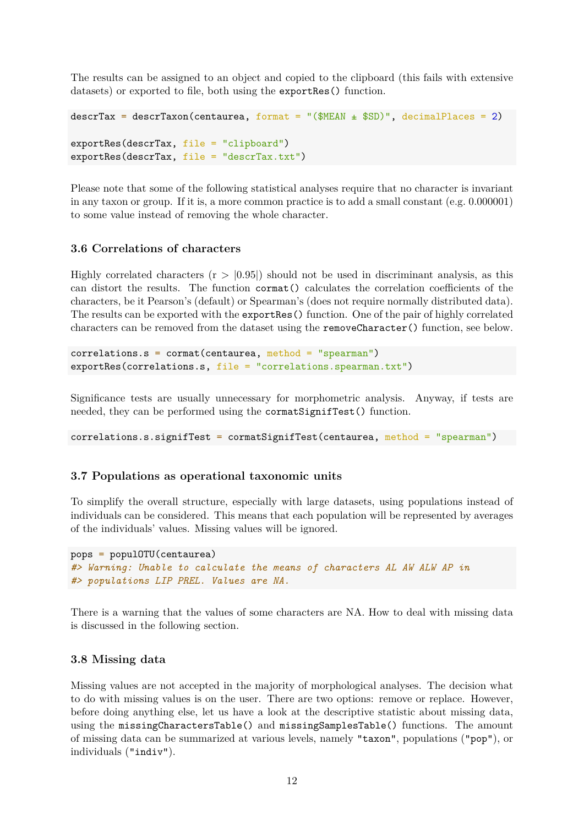The results can be assigned to an object and copied to the clipboard (this fails with extensive datasets) or exported to file, both using the exportRes() function.

```
descrTax = descrTaxon(centaurea, format = "$MEM + $SD", decimalPlaces = 2)
exportRes(descrTax, file = "clipboard")
exportRes(descrTax, file = "descrTax.txt")
```
Please note that some of the following statistical analyses require that no character is invariant in any taxon or group. If it is, a more common practice is to add a small constant (e.g. 0.000001) to some value instead of removing the whole character.

### <span id="page-11-0"></span>**3.6 Correlations of characters**

Highly correlated characters  $(r > 0.95)$  should not be used in discriminant analysis, as this can distort the results. The function cormat() calculates the correlation coefficients of the characters, be it Pearson's (default) or Spearman's (does not require normally distributed data). The results can be exported with the exportRes() function. One of the pair of highly correlated characters can be removed from the dataset using the removeCharacter() function, see below.

correlations.s = cormat(centaurea, method = "spearman") exportRes(correlations.s, file = "correlations.spearman.txt")

Significance tests are usually unnecessary for morphometric analysis. Anyway, if tests are needed, they can be performed using the cormatSignifTest() function.

correlations.s.signifTest = cormatSignifTest(centaurea, method = "spearman")

### <span id="page-11-1"></span>**3.7 Populations as operational taxonomic units**

To simplify the overall structure, especially with large datasets, using populations instead of individuals can be considered. This means that each population will be represented by averages of the individuals' values. Missing values will be ignored.

```
pops = populOTU(centaurea)
#> Warning: Unable to calculate the means of characters AL AW ALW AP in
#> populations LIP PREL. Values are NA.
```
There is a warning that the values of some characters are NA. How to deal with missing data is discussed in the following section.

### <span id="page-11-2"></span>**3.8 Missing data**

Missing values are not accepted in the majority of morphological analyses. The decision what to do with missing values is on the user. There are two options: remove or replace. However, before doing anything else, let us have a look at the descriptive statistic about missing data, using the missingCharactersTable() and missingSamplesTable() functions. The amount of missing data can be summarized at various levels, namely "taxon", populations ("pop"), or individuals ("indiv").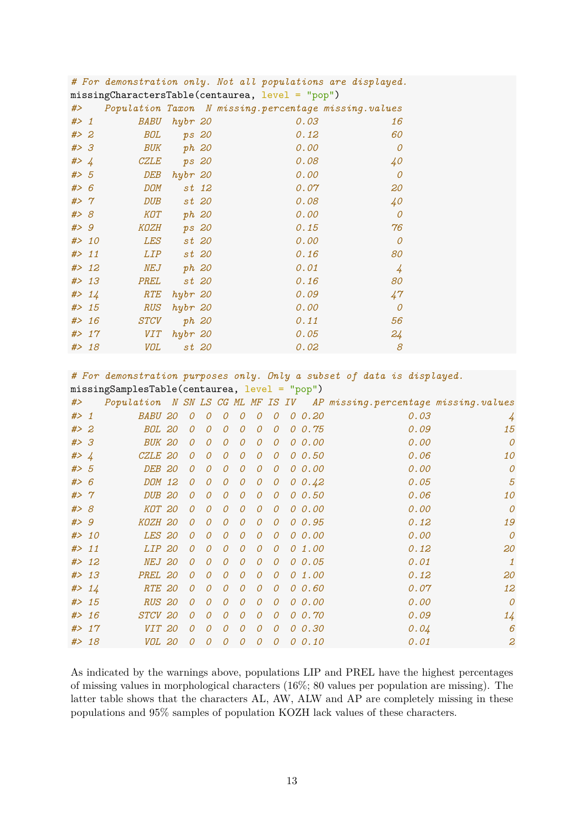|                                                  |        |             |         |       | <i># ror demonstration only. Not all populations are aisplayed.</i> |                |  |  |  |  |  |
|--------------------------------------------------|--------|-------------|---------|-------|---------------------------------------------------------------------|----------------|--|--|--|--|--|
| missingCharactersTable(centaurea, level = "pop") |        |             |         |       |                                                                     |                |  |  |  |  |  |
| #>                                               |        |             |         |       | Population Taxon N missing. percentage missing. values              |                |  |  |  |  |  |
| # > 1                                            |        | BABU        | hybr 20 |       | 0.03                                                                | 16             |  |  |  |  |  |
| # > 2                                            |        | BOL         | ps 20   |       | 0.12                                                                | 60             |  |  |  |  |  |
| # > 3                                            |        | BUK         | ph 20   |       | 0.00                                                                | $\mathcal O$   |  |  |  |  |  |
| # > 4                                            |        | <i>CZLE</i> | ps 20   |       | 0.08                                                                | 40             |  |  |  |  |  |
| # > 5                                            |        | DEB         | hybr 20 |       | 0.00                                                                | $\mathcal O$   |  |  |  |  |  |
| #> 6                                             |        | <b>DOM</b>  |         | st 12 | 0.07                                                                | 20             |  |  |  |  |  |
| #> 7                                             |        | <b>DUB</b>  |         | st 20 | 0.08                                                                | 40             |  |  |  |  |  |
| #> 8                                             |        | KOT         | ph 20   |       | 0.00                                                                | 0              |  |  |  |  |  |
| # > 9                                            |        | KOZH        | ps 20   |       | 0.15                                                                | 76             |  |  |  |  |  |
|                                                  | # > 10 | LES         |         | st 20 | 0.00                                                                | $\mathcal O$   |  |  |  |  |  |
|                                                  | # > 11 | <i>LIP</i>  |         | st 20 | 0.16                                                                | 80             |  |  |  |  |  |
|                                                  | # > 12 | NEJ         | ph 20   |       | 0.01                                                                | $\overline{4}$ |  |  |  |  |  |
|                                                  | # > 13 | PREL        |         | st 20 | 0.16                                                                | 80             |  |  |  |  |  |
|                                                  | # > 14 | RTE         | hybr 20 |       | 0.09                                                                | 47             |  |  |  |  |  |
|                                                  | # > 15 | <b>RUS</b>  | hybr 20 |       | 0.00                                                                | $\mathcal O$   |  |  |  |  |  |
|                                                  | # > 16 | <i>STCV</i> |         | ph 20 | 0.11                                                                | 56             |  |  |  |  |  |
|                                                  | # > 17 | <b>VIT</b>  | hybr 20 |       | 0.05                                                                | 24             |  |  |  |  |  |
|                                                  | # > 18 | <b>VOL</b>  |         | st 20 | 0.02                                                                | 8              |  |  |  |  |  |

*# For demonstration only. Not all populations are displayed.*

*# For demonstration purposes only. Only a subset of data is displayed.* missingSamplesTable(centaurea, level = "pop")

| #>     |        |                    |                |                |                |                |                |                |                |           | Population N SN LS CG ML MF IS IV AP missing. percentage missing. values |                |
|--------|--------|--------------------|----------------|----------------|----------------|----------------|----------------|----------------|----------------|-----------|--------------------------------------------------------------------------|----------------|
| $#$ 1  |        | <b>BABU 20</b>     | 0              | 0              | 0              | $\overline{O}$ | 0              | 0              | 0              | 0.20      | 0.03                                                                     | 4              |
| #>2    |        | <b>BOL 20</b>      | $\overline{O}$ | 0              | $\mathcal O$   | $\mathcal O$   | 0              | 0              | $\overline{O}$ | 0.75      | 0.09                                                                     | 15             |
| #> 3   |        | <b>BUK 20</b>      | $\mathcal O$   | 0              | $\overline{O}$ | $\mathcal{O}$  | $\overline{O}$ | 0              | $\overline{O}$ | 0.00      | 0.00                                                                     | $\overline{O}$ |
| # > 4  |        | CZLE 20            | $\mathcal O$   | $\overline{O}$ | $\overline{O}$ | 0              | $\mathcal{O}$  | 0              |                | 0 0.50    | 0.06                                                                     | 10             |
| # > 5  |        | DEB 20             | $\mathcal O$   | $\overline{O}$ | $\overline{O}$ | $\mathcal O$   | $\mathcal{O}$  | 0              |                | 0 0.00    | 0.00                                                                     | $\mathcal O$   |
| #> 6   |        | DOM 12             | 0              | 0              | 0              | 0              | 0              | 0              |                | 0.0.42    | 0.05                                                                     | 5              |
| #> 7   |        | DUB <sub>20</sub>  | $\overline{O}$ | $\overline{O}$ | $\overline{O}$ | $\overline{O}$ | $\overline{O}$ | 0              |                | 0 0.50    | 0.06                                                                     | 10             |
| #> 8   |        | KOT 20             | $\mathcal O$   | $\overline{O}$ | $\overline{O}$ | $\mathcal{O}$  | $\mathcal{O}$  | $\overline{O}$ |                | 0 0.00    | 0.00                                                                     | $\overline{O}$ |
| # > 9  |        | KOZH 20            | $\mathcal{O}$  | $\overline{O}$ | $\overline{O}$ | $\overline{O}$ | $\mathcal{O}$  | 0              |                | 0 0.95    | 0.12                                                                     | 19             |
|        | # > 10 | <b>LES 20</b>      | $\mathcal O$   | 0              | 0              | $\mathcal O$   | 0              | 0              |                | 0 0.00    | 0.00                                                                     | $\mathcal O$   |
| # > 11 |        | LIP 20             | $\overline{O}$ | $\overline{O}$ | $\overline{O}$ | $\overline{O}$ | 0              | 0              |                | 0 1.00    | 0.12                                                                     | 20             |
|        | # > 12 | NEJ 20             | $\mathcal O$   | 0              | 0              | $\overline{O}$ | 0              | 0              |                | 0 0.05    | 0.01                                                                     | $\mathbf{1}$   |
|        | # > 13 | PREL 20            | $\mathcal O$   | 0              | $\overline{O}$ | $\mathcal O$   | $\overline{O}$ | $\mathcal O$   |                | $0\;1.00$ | 0.12                                                                     | 20             |
|        | # > 14 | RTE 20             | $\mathcal{O}$  | $\overline{O}$ | $\overline{O}$ | $\overline{O}$ | $\overline{O}$ | $\mathcal O$   |                | 0, 0.60   | 0.07                                                                     | 12             |
|        | # > 15 | <b>RUS 20</b>      | 0              | 0              | 0              | $\mathcal O$   | 0              | 0              |                | 0 0.00    | 0.00                                                                     | $\mathcal O$   |
|        | # > 16 | STCV <sub>20</sub> | $\mathcal O$   | $\overline{O}$ | $\overline{O}$ | $\overline{O}$ | $\mathcal{O}$  | $\overline{O}$ |                | 0 0.70    | 0.09                                                                     | 14             |
|        | # > 17 | VIT 20             | $\overline{O}$ | 0              | $\overline{O}$ | $\overline{O}$ | $\mathcal{O}$  | 0              |                | 0 0.30    | 0.04                                                                     | 6              |
|        | # > 18 | VOL 20             | $\overline{O}$ | $\overline{O}$ | $\overline{O}$ | $\overline{O}$ | $\mathcal{O}$  | 0              |                | 0 0.10    | 0.01                                                                     | 2              |

As indicated by the warnings above, populations LIP and PREL have the highest percentages of missing values in morphological characters (16%; 80 values per population are missing). The latter table shows that the characters AL, AW, ALW and AP are completely missing in these populations and 95% samples of population KOZH lack values of these characters.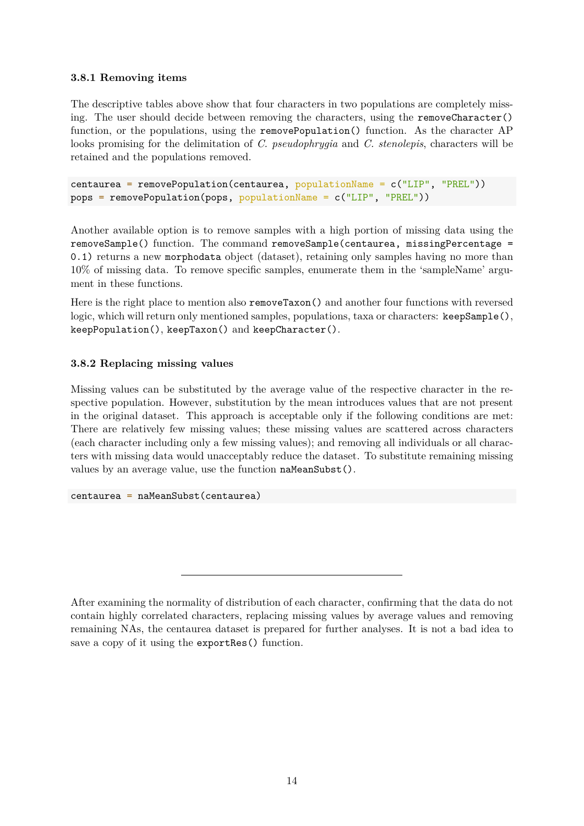### <span id="page-13-0"></span>**3.8.1 Removing items**

The descriptive tables above show that four characters in two populations are completely missing. The user should decide between removing the characters, using the removeCharacter() function, or the populations, using the removePopulation() function. As the character AP looks promising for the delimitation of *C. pseudophrygia* and *C. stenolepis*, characters will be retained and the populations removed.

```
centaurea = removePopulation(centaurea, populationName = c("LIP", "PREL"))
pops = removePopulation(pops, populationName = c("LIP", "PREL"))
```
Another available option is to remove samples with a high portion of missing data using the removeSample() function. The command removeSample(centaurea, missingPercentage = 0.1) returns a new morphodata object (dataset), retaining only samples having no more than 10% of missing data. To remove specific samples, enumerate them in the 'sampleName' argument in these functions.

Here is the right place to mention also removeTaxon() and another four functions with reversed logic, which will return only mentioned samples, populations, taxa or characters: keepSample(), keepPopulation(), keepTaxon() and keepCharacter().

### <span id="page-13-1"></span>**3.8.2 Replacing missing values**

Missing values can be substituted by the average value of the respective character in the respective population. However, substitution by the mean introduces values that are not present in the original dataset. This approach is acceptable only if the following conditions are met: There are relatively few missing values; these missing values are scattered across characters (each character including only a few missing values); and removing all individuals or all characters with missing data would unacceptably reduce the dataset. To substitute remaining missing values by an average value, use the function naMeanSubst().

centaurea = naMeanSubst(centaurea)

After examining the normality of distribution of each character, confirming that the data do not contain highly correlated characters, replacing missing values by average values and removing remaining NAs, the centaurea dataset is prepared for further analyses. It is not a bad idea to save a copy of it using the exportRes() function.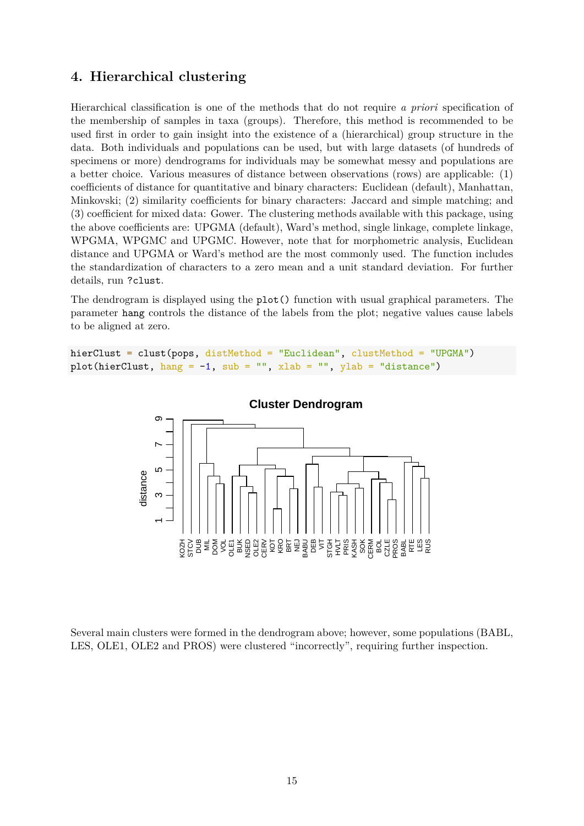## <span id="page-14-0"></span>**4. Hierarchical clustering**

Hierarchical classification is one of the methods that do not require *a priori* specification of the membership of samples in taxa (groups). Therefore, this method is recommended to be used first in order to gain insight into the existence of a (hierarchical) group structure in the data. Both individuals and populations can be used, but with large datasets (of hundreds of specimens or more) dendrograms for individuals may be somewhat messy and populations are a better choice. Various measures of distance between observations (rows) are applicable: (1) coefficients of distance for quantitative and binary characters: Euclidean (default), Manhattan, Minkovski; (2) similarity coefficients for binary characters: Jaccard and simple matching; and (3) coefficient for mixed data: Gower. The clustering methods available with this package, using the above coefficients are: UPGMA (default), Ward's method, single linkage, complete linkage, WPGMA, WPGMC and UPGMC. However, note that for morphometric analysis, Euclidean distance and UPGMA or Ward's method are the most commonly used. The function includes the standardization of characters to a zero mean and a unit standard deviation. For further details, run ?clust.

The dendrogram is displayed using the plot() function with usual graphical parameters. The parameter hang controls the distance of the labels from the plot; negative values cause labels to be aligned at zero.

hierClust = clust(pops, distMethod = "Euclidean", clustMethod = "UPGMA") plot(hierClust, hang =  $-1$ , sub = "", xlab = "", ylab = "distance")





Several main clusters were formed in the dendrogram above; however, some populations (BABL, LES, OLE1, OLE2 and PROS) were clustered "incorrectly", requiring further inspection.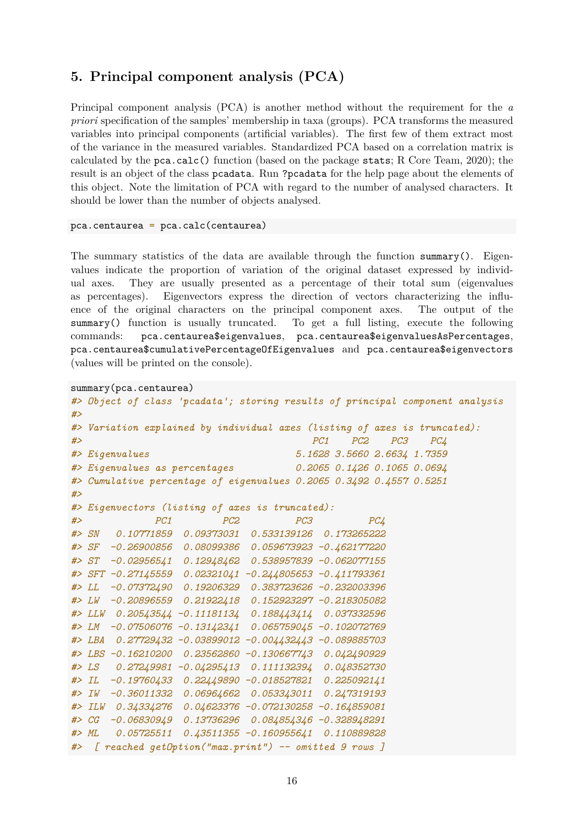## <span id="page-15-0"></span>**5. Principal component analysis (PCA)**

Principal component analysis (PCA) is another method without the requirement for the *a priori* specification of the samples' membership in taxa (groups). PCA transforms the measured variables into principal components (artificial variables). The first few of them extract most of the variance in the measured variables. Standardized PCA based on a correlation matrix is calculated by the pca.calc() function (based on the package stats; R Core Team, 2020); the result is an object of the class pcadata. Run ?pcadata for the help page about the elements of this object. Note the limitation of PCA with regard to the number of analysed characters. It should be lower than the number of objects analysed.

pca.centaurea = pca.calc(centaurea)

The summary statistics of the data are available through the function summary(). Eigenvalues indicate the proportion of variation of the original dataset expressed by individual axes. They are usually presented as a percentage of their total sum (eigenvalues as percentages). Eigenvectors express the direction of vectors characterizing the influence of the original characters on the principal component axes. The output of the summary() function is usually truncated. To get a full listing, execute the following commands: pca.centaurea\$eigenvalues, pca.centaurea\$eigenvaluesAsPercentages, pca.centaurea\$cumulativePercentageOfEigenvalues and pca.centaurea\$eigenvectors (values will be printed on the console).

```
summary(pca.centaurea)
```

```
#> Object of class 'pcadata'; storing results of principal component analysis
#>
#> Variation explained by individual axes (listing of axes is truncated):
#> PC1 PC2 PC3 PC4
#> Eigenvalues 5.1628 3.5660 2.6634 1.7359
#> Eigenvalues as percentages 0.2065 0.1426 0.1065 0.0694
#> Cumulative percentage of eigenvalues 0.2065 0.3492 0.4557 0.5251
#>
#> Eigenvectors (listing of axes is truncated):
#> PC1 PC2 PC3 PC4
#> SN 0.10771859 0.09373031 0.533139126 0.173265222
#> SF -0.26900856 0.08099386 0.059673923 -0.462177220
#> ST -0.02956541 0.12948462 0.538957839 -0.062077155
#> SFT -0.27145559 0.02321041 -0.244805653 -0.411793361
#> LL -0.07372490 0.19206329 0.383723626 -0.232003396
#> LW -0.20896559 0.21922418 0.152923297 -0.218305082
#> LLW 0.20543544 -0.11181134 0.188443414 0.037332596
#> LM -0.07506076 -0.13142341 0.065759045 -0.102072769
#> LBA 0.27729432 -0.03899012 -0.004432443 -0.089885703
#> LBS -0.16210200 0.23562860 -0.130667743 0.042490929
#> LS 0.27249981 -0.04295413 0.111132394 0.048352730
#> IL -0.19760433 0.22449890 -0.018527821 0.225092141
#> IW -0.36011332 0.06964662 0.053343011 0.247319193
#> ILW 0.34334276 0.04623376 -0.072130258 -0.164859081
#> CG -0.06830949 0.13736296 0.084854346 -0.328948291
#> ML 0.05725511 0.43511355 -0.160955641 0.110889828
#> [ reached getOption("max.print") -- omitted 9 rows ]
```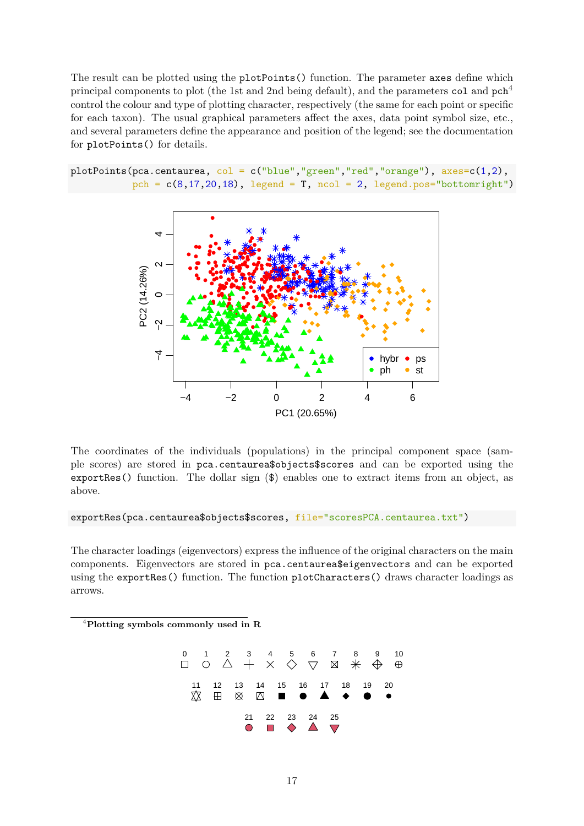The result can be plotted using the plotPoints() function. The parameter axes define which principal components to plot (the 1st and 2nd being default), and the parameters col and pch<sup>[4](#page-16-0)</sup> control the colour and type of plotting character, respectively (the same for each point or specific for each taxon). The usual graphical parameters affect the axes, data point symbol size, etc., and several parameters define the appearance and position of the legend; see the documentation for plotPoints() for details.

plotPoints(pca.centaurea,  $col = c("blue", "green", "red", "orange"), axes=c(1,2),$ pch =  $c(8,17,20,18)$ , legend = T, ncol = 2, legend.pos="bottomright")



The coordinates of the individuals (populations) in the principal component space (sample scores) are stored in pca.centaurea\$objects\$scores and can be exported using the exportRes() function. The dollar sign (\$) enables one to extract items from an object, as above.

exportRes(pca.centaurea\$objects\$scores, file="scoresPCA.centaurea.txt")

The character loadings (eigenvectors) express the influence of the original characters on the main components. Eigenvectors are stored in pca.centaurea\$eigenvectors and can be exported using the exportRes() function. The function plotCharacters() draws character loadings as arrows.

<span id="page-16-0"></span>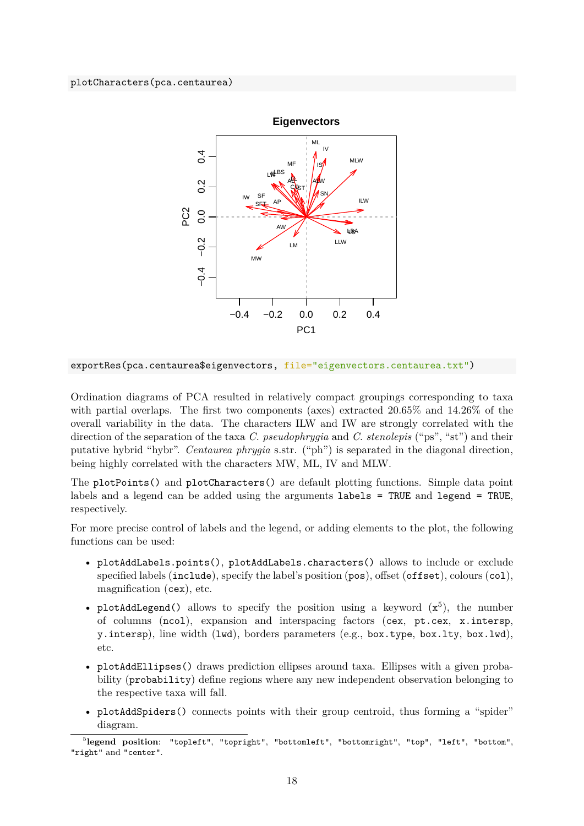

exportRes(pca.centaurea\$eigenvectors, file="eigenvectors.centaurea.txt")

Ordination diagrams of PCA resulted in relatively compact groupings corresponding to taxa with partial overlaps. The first two components (axes) extracted 20.65% and 14.26% of the overall variability in the data. The characters ILW and IW are strongly correlated with the direction of the separation of the taxa *C. pseudophrygia* and *C. stenolepis* ("ps", "st") and their putative hybrid "hybr". *Centaurea phrygia* s.str. ("ph") is separated in the diagonal direction, being highly correlated with the characters MW, ML, IV and MLW.

The plotPoints() and plotCharacters() are default plotting functions. Simple data point labels and a legend can be added using the arguments labels = TRUE and legend = TRUE, respectively.

For more precise control of labels and the legend, or adding elements to the plot, the following functions can be used:

- plotAddLabels.points(), plotAddLabels.characters() allows to include or exclude specified labels (include), specify the label's position (pos), offset (offset), colours (col), magnification (cex), etc.
- plotAddLegend() allows to specify the position using a keyword  $(x^5)$  $(x^5)$  $(x^5)$ , the number of columns (ncol), expansion and interspacing factors (cex, pt.cex, x.intersp, y.intersp), line width (lwd), borders parameters (e.g., box.type, box.lty, box.lwd), etc.
- plotAddEllipses() draws prediction ellipses around taxa. Ellipses with a given probability (probability) define regions where any new independent observation belonging to the respective taxa will fall.
- plotAddSpiders() connects points with their group centroid, thus forming a "spider" diagram.

<span id="page-17-0"></span><sup>5</sup> **legend position**: "topleft", "topright", "bottomleft", "bottomright", "top", "left", "bottom", "right" and "center".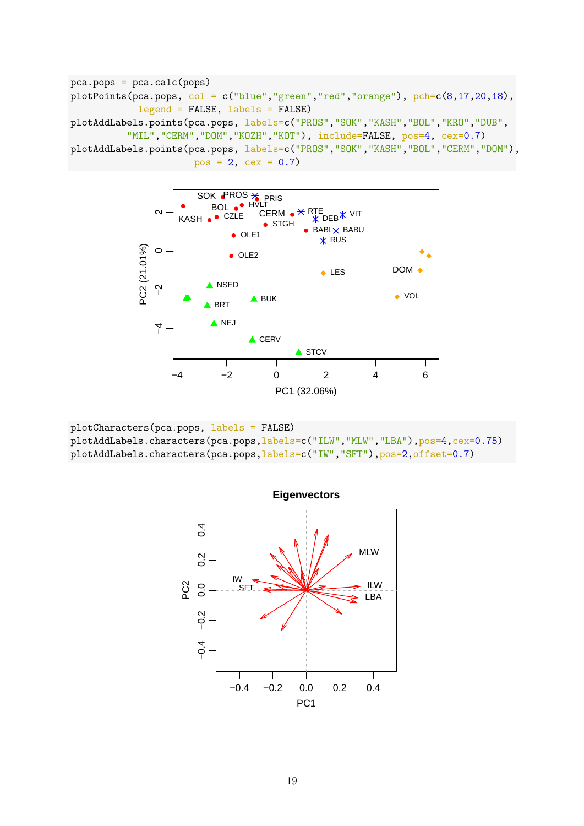

plotCharacters(pca.pops, labels = FALSE) plotAddLabels.characters(pca.pops,labels=c("ILW","MLW","LBA"),pos=4,cex=0.75) plotAddLabels.characters(pca.pops,labels=c("IW","SFT"),pos=2,offset=0.7)



 $pos = 2, cex = 0.7)$ 

pca.pops = pca.calc(pops) plotPoints(pca.pops,  $col = c("blue", "green", "red", "orange"), pch=c(8,17,20,18),$ legend = FALSE, labels = FALSE) plotAddLabels.points(pca.pops, labels=c("PROS","SOK","KASH","BOL","KRO","DUB", "MIL","CERM","DOM","KOZH","KOT"), include=FALSE, pos=4, cex=0.7) plotAddLabels.points(pca.pops, labels=c("PROS","SOK","KASH","BOL","CERM","DOM"),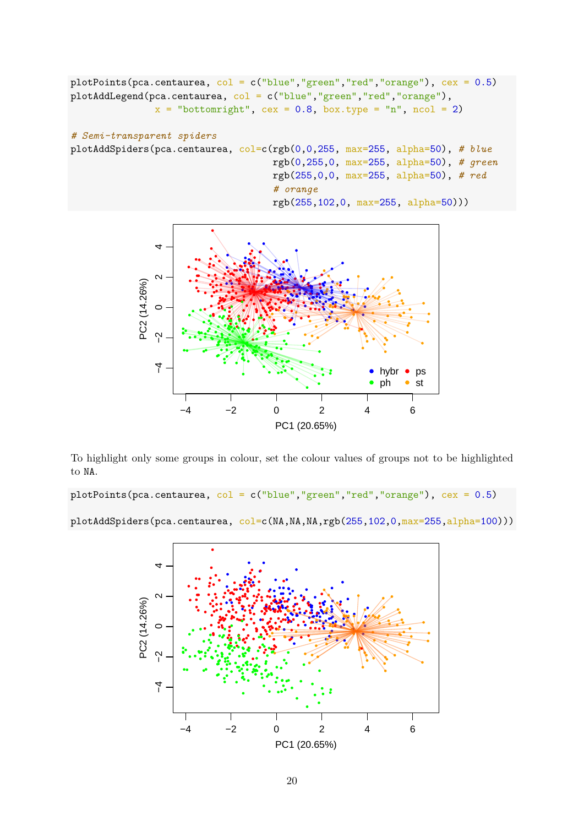```
plotPoints(pca.centaurea, col = c("blue", "green", "red", "orange"), cex = 0.5)plotAddLegend(pca.centaurea, col = c("blue","green","red","orange"),
               x = "bottomright", cex = 0.8, box.type = "n", ncol = 2)
# Semi-transparent spiders
plotAddSpiders(pca.centaurea, col=c(rgb(0,0,255, max=255, alpha=50), # blue
                                    rgb(0,255,0, max=255, alpha=50), # green
                                    rgb(255,0,0, max=255, alpha=50), # red
                                    # orange
                                    rgb(255,102,0, max=255, alpha=50)))
```


To highlight only some groups in colour, set the colour values of groups not to be highlighted to NA.

plotPoints(pca.centaurea,  $col = c("blue", "green", "red", "orange"), cex = 0.5)$ 

plotAddSpiders(pca.centaurea, col=c(NA,NA,NA,rgb(255,102,0,max=255,alpha=100)))

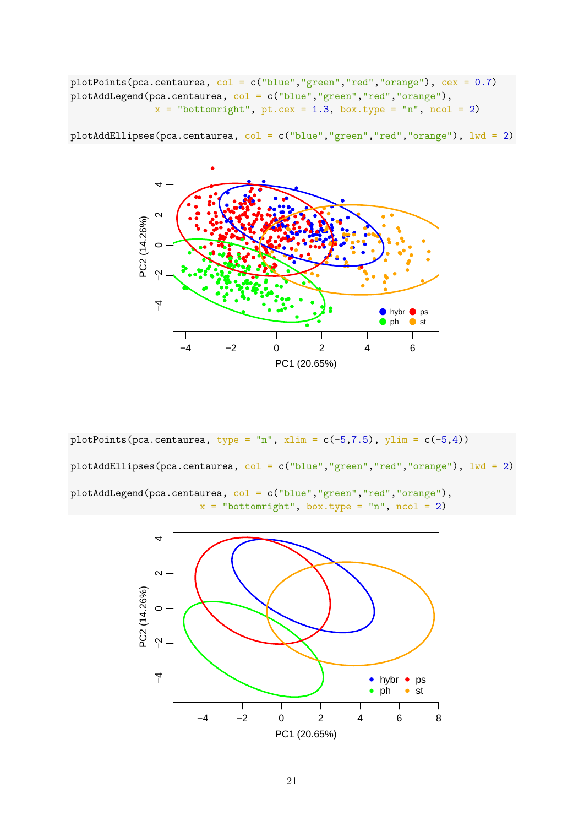plotPoints(pca.centaurea, col = c("blue","green","red","orange"), cex = 0.7) plotAddLegend(pca.centaurea, col = c("blue","green","red","orange"),  $x =$  "bottomright", pt.cex = 1.3, box.type = "n", ncol = 2)



plotAddEllipses(pca.centaurea, col = c("blue","green","red","orange"), lwd = 2)

plotPoints(pca.centaurea, type = "n", xlim =  $c(-5, 7.5)$ , ylim =  $c(-5, 4)$ ) plotAddEllipses(pca.centaurea, col = c("blue","green","red","orange"), lwd = 2) plotAddLegend(pca.centaurea, col = c("blue","green","red","orange"),  $x = "bottomright", box-type = "n", ncol = 2)$ 

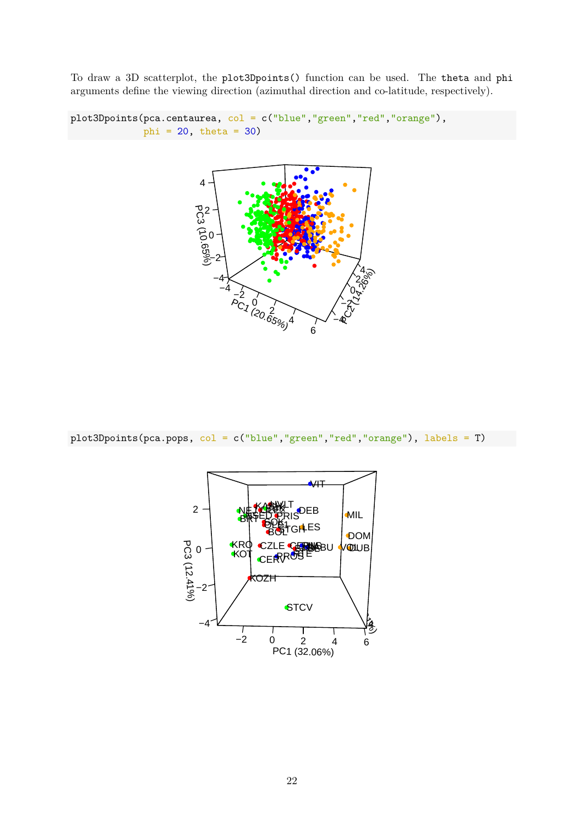To draw a 3D scatterplot, the plot3Dpoints() function can be used. The theta and phi arguments define the viewing direction (azimuthal direction and co-latitude, respectively).

```
plot3Dpoints(pca.centaurea, col = c("blue","green","red","orange"),
             phi = 20, theta = 30)
```


plot3Dpoints(pca.pops, col = c("blue","green","red","orange"), labels = T)

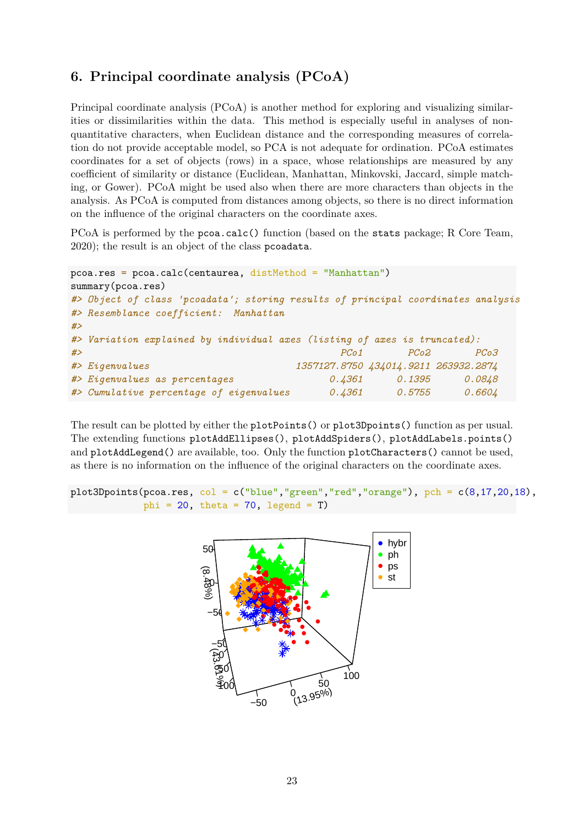## <span id="page-22-0"></span>**6. Principal coordinate analysis (PCoA)**

Principal coordinate analysis (PCoA) is another method for exploring and visualizing similarities or dissimilarities within the data. This method is especially useful in analyses of nonquantitative characters, when Euclidean distance and the corresponding measures of correlation do not provide acceptable model, so PCA is not adequate for ordination. PCoA estimates coordinates for a set of objects (rows) in a space, whose relationships are measured by any coefficient of similarity or distance (Euclidean, Manhattan, Minkovski, Jaccard, simple matching, or Gower). PCoA might be used also when there are more characters than objects in the analysis. As PCoA is computed from distances among objects, so there is no direct information on the influence of the original characters on the coordinate axes.

PCoA is performed by the pcoa.calc() function (based on the stats package; R Core Team, 2020); the result is an object of the class pcoadata.

```
pcoa.res = pcoa.calc(centaurea, distMethod = "Manhattan")
summary(pcoa.res)
#> Object of class 'pcoadata'; storing results of principal coordinates analysis
#> Resemblance coefficient: Manhattan
#>
#> Variation explained by individual axes (listing of axes is truncated):
#> PCo1 PCo2 PCo3
#> Eigenvalues 1357127.8750 434014.9211 263932.2874
#> Eigenvalues as percentages 0.4361 0.1395 0.0848
#> Cumulative percentage of eigenvalues 0.4361 0.5755 0.6604
```
The result can be plotted by either the plotPoints() or plot3Dpoints() function as per usual. The extending functions plotAddEllipses(), plotAddSpiders(), plotAddLabels.points() and plotAddLegend() are available, too. Only the function plotCharacters() cannot be used, as there is no information on the influence of the original characters on the coordinate axes.

```
plot3Dpoints(pcoa.res, col = c("blue", "green", "red", "orange"), pch = c(8,17,20,18),phi = 20, theta = 70, legend = T)
```
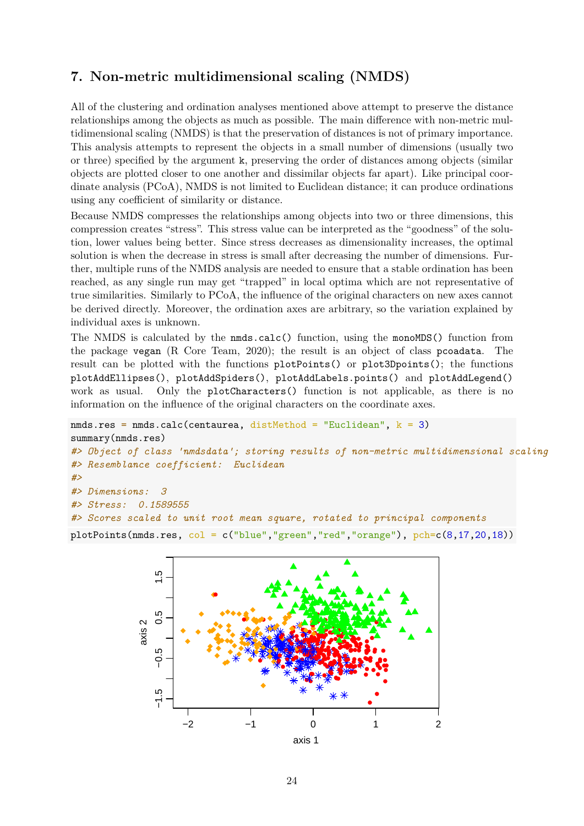## <span id="page-23-0"></span>**7. Non-metric multidimensional scaling (NMDS)**

All of the clustering and ordination analyses mentioned above attempt to preserve the distance relationships among the objects as much as possible. The main difference with non-metric multidimensional scaling (NMDS) is that the preservation of distances is not of primary importance. This analysis attempts to represent the objects in a small number of dimensions (usually two or three) specified by the argument k, preserving the order of distances among objects (similar objects are plotted closer to one another and dissimilar objects far apart). Like principal coordinate analysis (PCoA), NMDS is not limited to Euclidean distance; it can produce ordinations using any coefficient of similarity or distance.

Because NMDS compresses the relationships among objects into two or three dimensions, this compression creates "stress". This stress value can be interpreted as the "goodness" of the solution, lower values being better. Since stress decreases as dimensionality increases, the optimal solution is when the decrease in stress is small after decreasing the number of dimensions. Further, multiple runs of the NMDS analysis are needed to ensure that a stable ordination has been reached, as any single run may get "trapped" in local optima which are not representative of true similarities. Similarly to PCoA, the influence of the original characters on new axes cannot be derived directly. Moreover, the ordination axes are arbitrary, so the variation explained by individual axes is unknown.

The NMDS is calculated by the nmds.calc() function, using the monoMDS() function from the package vegan (R Core Team, 2020); the result is an object of class pcoadata. The result can be plotted with the functions plotPoints() or plot3Dpoints(); the functions plotAddEllipses(), plotAddSpiders(), plotAddLabels.points() and plotAddLegend() work as usual. Only the plotCharacters() function is not applicable, as there is no information on the influence of the original characters on the coordinate axes.

```
nmds.res = nmds.calc(centaurea, distMethod = "Euclidean", k = 3)
summary(nmds.res)
#> Object of class 'nmdsdata'; storing results of non-metric multidimensional scaling
#> Resemblance coefficient: Euclidean
#>
#> Dimensions: 3
#> Stress: 0.1589555
#> Scores scaled to unit root mean square, rotated to principal components
plotPoints(nmds.res, col = c("blue","green","red","orange"), pch=c(8,17,20,18))
```
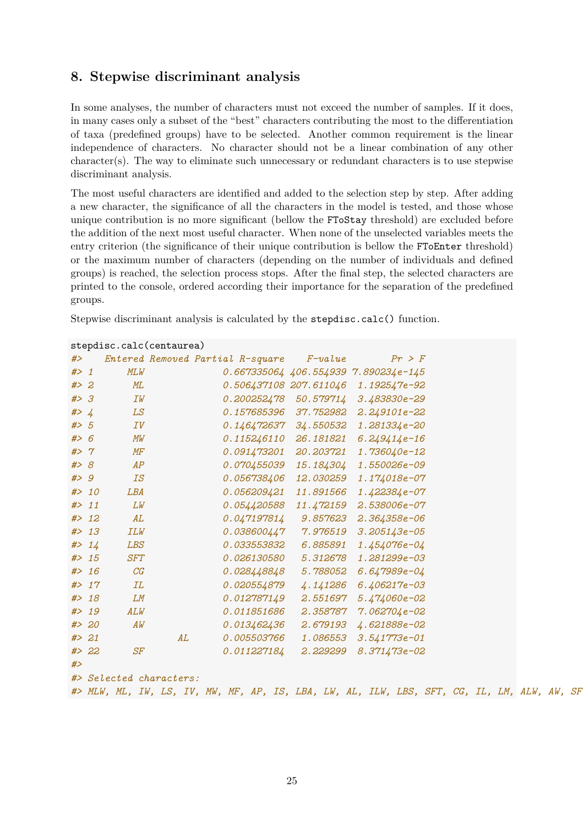## <span id="page-24-0"></span>**8. Stepwise discriminant analysis**

In some analyses, the number of characters must not exceed the number of samples. If it does, in many cases only a subset of the "best" characters contributing the most to the differentiation of taxa (predefined groups) have to be selected. Another common requirement is the linear independence of characters. No character should not be a linear combination of any other character(s). The way to eliminate such unnecessary or redundant characters is to use stepwise discriminant analysis.

The most useful characters are identified and added to the selection step by step. After adding a new character, the significance of all the characters in the model is tested, and those whose unique contribution is no more significant (bellow the FToStay threshold) are excluded before the addition of the next most useful character. When none of the unselected variables meets the entry criterion (the significance of their unique contribution is bellow the FToEnter threshold) or the maximum number of characters (depending on the number of individuals and defined groups) is reached, the selection process stops. After the final step, the selected characters are printed to the console, ordered according their importance for the separation of the predefined groups.

Stepwise discriminant analysis is calculated by the stepdisc.calc() function.

|       |        | stepuisc.carc(centaurea) |    |                                                                                             |            |                                            |  |  |  |
|-------|--------|--------------------------|----|---------------------------------------------------------------------------------------------|------------|--------------------------------------------|--|--|--|
| #>    |        |                          |    | Entered Removed Partial R-square                                                            | $F$ -value | Pr > F                                     |  |  |  |
| $#$ 1 |        | MLW                      |    |                                                                                             |            | $0.667335064$ $406.554939$ $7.890234e-145$ |  |  |  |
| # > 2 |        | ML                       |    | 0.506437108 207.611046                                                                      |            | 1.192547e-92                               |  |  |  |
| #> 3  |        | IW                       |    | 0.200252478                                                                                 |            | 50.579714 3.483830e-29                     |  |  |  |
| # > 4 |        | LS                       |    | 0.157685396 37.752982                                                                       |            | 2.249101e-22                               |  |  |  |
| # > 5 |        | IV                       |    | $0.146472637$ $34.550532$                                                                   |            | 1.281334e-20                               |  |  |  |
| # > 6 |        | MW                       |    | 0.115246110 26.181821                                                                       |            | $6.249414e-16$                             |  |  |  |
| #> 7  |        | $M\!F$                   |    | 0.091473201                                                                                 | 20.203721  | 1.736040e-12                               |  |  |  |
| #> 8  |        | AP                       |    | <i>0.070455039</i>                                                                          | 15.184304  | 1.550026e-09                               |  |  |  |
| # > 9 |        | IS                       |    | 0.056738406 12.030259                                                                       |            | 1.174018e-07                               |  |  |  |
|       | # > 10 | LBA                      |    | 0.056209421                                                                                 | 11.891566  | $1.422384e-07$                             |  |  |  |
|       | # > 11 | LW                       |    | 0.054420588 11.472159                                                                       |            | 2.538006e-07                               |  |  |  |
|       | # > 12 | AL                       |    | 0.047197814                                                                                 | 9.857623   | $2.364358e - 06$                           |  |  |  |
|       | # > 13 | ILW                      |    | 0.038600447                                                                                 | 7.976519   | $3.205143e-05$                             |  |  |  |
|       | # > 14 | LBS                      |    | 0.033553832                                                                                 | 6.885891   | $1.454076e - 04$                           |  |  |  |
|       | # > 15 | <i>SFT</i>               |    | <i>0.026130580</i>                                                                          | 5.312678   | 1.281299e-03                               |  |  |  |
|       | # > 16 | CG                       |    | 0.028448848                                                                                 | 5.788052   | $6.647989e - 04$                           |  |  |  |
|       | # > 17 | ΙL                       |    | 0.020554879                                                                                 | 4.141286   | $6.406217e-03$                             |  |  |  |
|       | # > 18 | LM                       |    | 0.012787149                                                                                 | 2.551697   | 5.474060e-02                               |  |  |  |
|       | # > 19 | ALW                      |    | 0.011851686                                                                                 | 2.358787   | 7.062704e-02                               |  |  |  |
|       | # > 20 | AW                       |    | 0.013462436                                                                                 | 2.679193   | 4.621888e-02                               |  |  |  |
|       | # > 21 |                          | AL | 0.005503766                                                                                 | 1.086553   | $3.541773e-01$                             |  |  |  |
|       | # > 22 | $S\!F$                   |    | 0.011227184                                                                                 | 2.229299   | 8.371473e-02                               |  |  |  |
| #     |        |                          |    |                                                                                             |            |                                            |  |  |  |
|       |        | #> Selected characters:  |    |                                                                                             |            |                                            |  |  |  |
|       |        |                          |    | #> MLW, ML, IW, LS, IV, MW, MF, AP, IS, LBA, LW, AL, ILW, LBS, SFT, CG, IL, LM, ALW, AW, SF |            |                                            |  |  |  |
|       |        |                          |    |                                                                                             |            |                                            |  |  |  |

# stepdisc.calc(centaurea)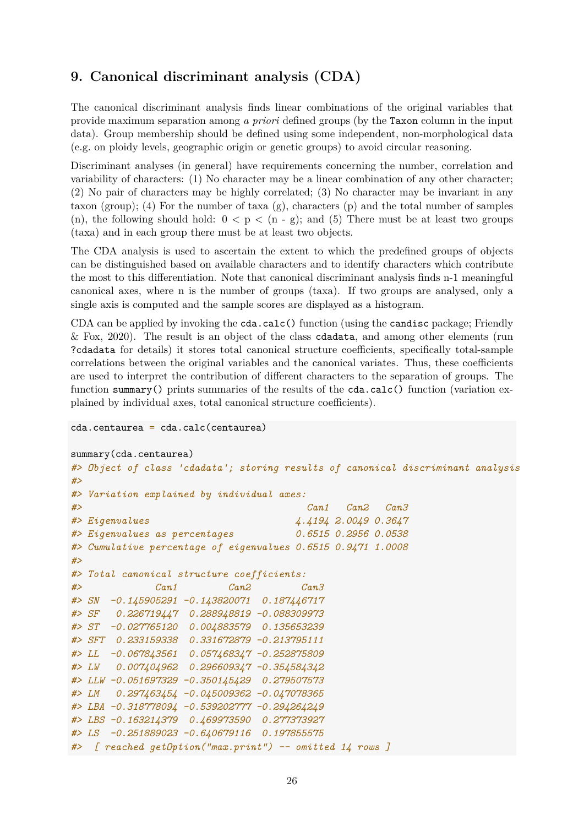## <span id="page-25-0"></span>**9. Canonical discriminant analysis (CDA)**

The canonical discriminant analysis finds linear combinations of the original variables that provide maximum separation among *a priori* defined groups (by the Taxon column in the input data). Group membership should be defined using some independent, non-morphological data (e.g. on ploidy levels, geographic origin or genetic groups) to avoid circular reasoning.

Discriminant analyses (in general) have requirements concerning the number, correlation and variability of characters: (1) No character may be a linear combination of any other character; (2) No pair of characters may be highly correlated; (3) No character may be invariant in any taxon (group); (4) For the number of taxa (g), characters (p) and the total number of samples (n), the following should hold:  $0 < p < (n - g)$ ; and (5) There must be at least two groups (taxa) and in each group there must be at least two objects.

The CDA analysis is used to ascertain the extent to which the predefined groups of objects can be distinguished based on available characters and to identify characters which contribute the most to this differentiation. Note that canonical discriminant analysis finds n-1 meaningful canonical axes, where n is the number of groups (taxa). If two groups are analysed, only a single axis is computed and the sample scores are displayed as a histogram.

CDA can be applied by invoking the cda.calc() function (using the candisc package; Friendly & Fox, 2020). The result is an object of the class cdadata, and among other elements (run ?cdadata for details) it stores total canonical structure coefficients, specifically total-sample correlations between the original variables and the canonical variates. Thus, these coefficients are used to interpret the contribution of different characters to the separation of groups. The function summary() prints summaries of the results of the  $cda.calc()$  function (variation explained by individual axes, total canonical structure coefficients).

```
cda.centaurea = cda.calc(centaurea)
```

```
summary(cda.centaurea)
```

```
#> Object of class 'cdadata'; storing results of canonical discriminant analysis
#>
#> Variation explained by individual axes:
#> Can1 Can2 Can3
#> Eigenvalues 4.4194 2.0049 0.3647
#> Eigenvalues as percentages 0.6515 0.2956 0.0538
#> Cumulative percentage of eigenvalues 0.6515 0.9471 1.0008
#>
#> Total canonical structure coefficients:
#> Can1 Can2 Can3
#> SN -0.145905291 -0.143820071 0.187446717
#> SF 0.226719447 0.288948819 -0.088309973
#> ST -0.027765120 0.004883579 0.135653239
#> SFT 0.233159338 0.331672879 -0.213795111
#> LL -0.067843561 0.057468347 -0.252875809
#> LW 0.007404962 0.296609347 -0.354584342
#> LLW -0.051697329 -0.350145429 0.279507573
#> LM 0.297463454 -0.045009362 -0.047078365
#> LBA -0.318778094 -0.539202777 -0.294264249
#> LBS -0.163214379 0.469973590 0.277373927
#> LS -0.251889023 -0.640679116 0.197855575
#> [ reached getOption("max.print") -- omitted 14 rows ]
```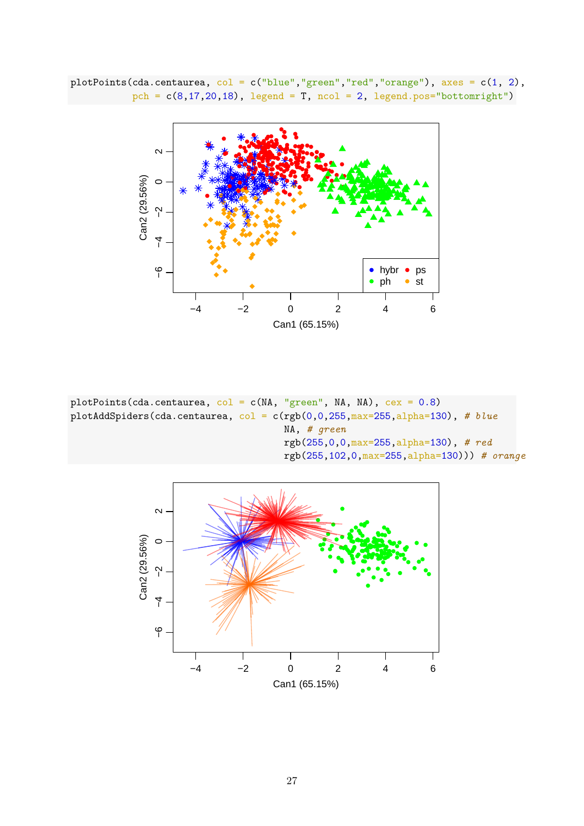plotPoints(cda.centaurea,  $col = c("blue", "green", "red", "orange"), axes = c(1, 2),$ pch =  $c(8, 17, 20, 18)$ , legend = T, ncol = 2, legend.pos="bottomright")



plotPoints(cda.centaurea,  $col = c(MA, "green", MA, NA), cex = 0.8)$ plotAddSpiders(cda.centaurea, col = c(rgb(0,0,255,max=255,alpha=130), *# blue* NA, *# green* rgb(255,0,0,max=255,alpha=130), *# red* rgb(255,102,0,max=255,alpha=130))) *# orange*

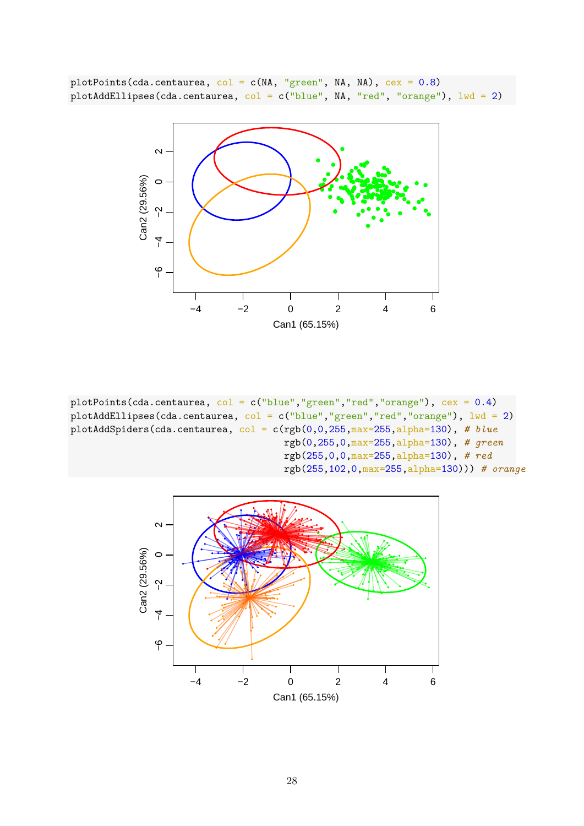plotPoints(cda.centaurea,  $col = c(M, "green", MA, NA)$ ,  $cex = 0.8)$ plotAddEllipses(cda.centaurea, col = c("blue", NA, "red", "orange"),  $1wd = 2$ )



plotPoints(cda.centaurea, col = c("blue","green","red","orange"), cex = 0.4) plotAddEllipses(cda.centaurea, col = c("blue","green","red","orange"), lwd = 2) plotAddSpiders(cda.centaurea, col = c(rgb(0,0,255,max=255,alpha=130), *# blue* rgb(0,255,0,max=255,alpha=130), *# green* rgb(255,0,0,max=255,alpha=130), *# red* rgb(255,102,0,max=255,alpha=130))) *# orange*

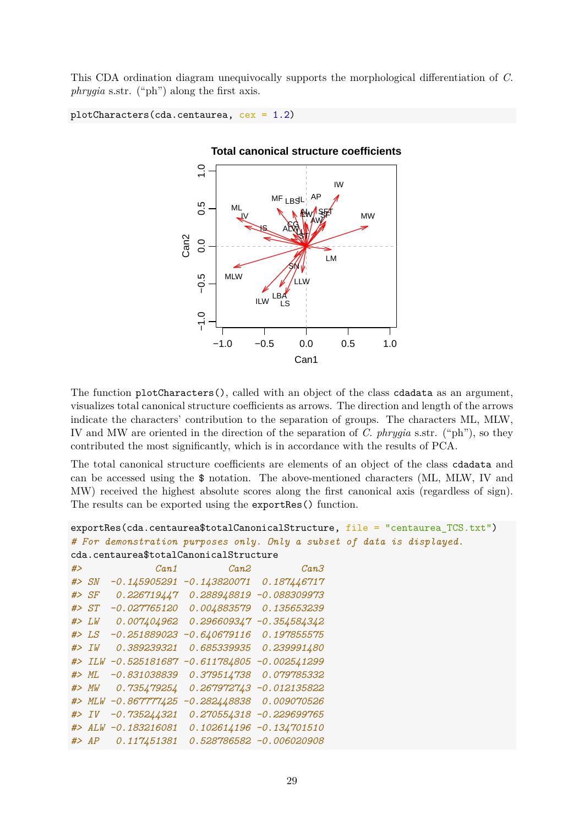This CDA ordination diagram unequivocally supports the morphological differentiation of *C. phrygia* s.str. ("ph") along the first axis.

```
plotCharacters(cda.centaurea, cex = 1.2)
```


The function plotCharacters(), called with an object of the class cdadata as an argument, visualizes total canonical structure coefficients as arrows. The direction and length of the arrows indicate the characters' contribution to the separation of groups. The characters ML, MLW, IV and MW are oriented in the direction of the separation of *C. phrygia* s.str. ("ph"), so they contributed the most significantly, which is in accordance with the results of PCA.

The total canonical structure coefficients are elements of an object of the class cdadata and can be accessed using the \$ notation. The above-mentioned characters (ML, MLW, IV and MW) received the highest absolute scores along the first canonical axis (regardless of sign). The results can be exported using the exportRes() function.

```
exportRes(cda.centaurea$totalCanonicalStructure, file = "centaurea TCS.txt")# For demonstration purposes only. Only a subset of data is displayed.
cda.centaurea$totalCanonicalStructure
```

| # |             | Can1           | Can <sub>2</sub> | Can3                     |
|---|-------------|----------------|------------------|--------------------------|
|   | # > SN      | $-0.145905291$ | $-0.143820071$   | 0.187446717              |
|   | # > SF      | 0.226719447    | 0.288948819      | -0.088309973             |
|   | # > ST      | $-0.027765120$ | 0.004883579      | 0.135653239              |
|   | # > LW      | 0.007404962    | 0.296609347      | $-0.354584342$           |
|   | # > LS      | $-0.251889023$ | $-0.640679116$   | 0.197855575              |
|   | # > IV      | 0.389239321    | 0.685339935      | 0.239991480              |
|   | $#$ > $ILW$ | $-0.525181687$ | $-0.611784805$   | $-0.002541299$           |
|   | # > ML      | $-0.831038839$ | 0.379514738      | 0.079785332              |
|   | #> MW       | 0.735479254    | 0.267972743      | $-0.012135822$           |
|   | # > MLW     | $-0.867777425$ | $-0.282448838$   | 0.009070526              |
|   | # > IV      | $-0.735244321$ | 0.270554318      | $-0.229699765$           |
|   | # > ALW     | $-0.183216081$ | 0.102614196      | $-0.134701510$           |
|   | # > AP      | 0.117451381    |                  | 0.528786582 -0.006020908 |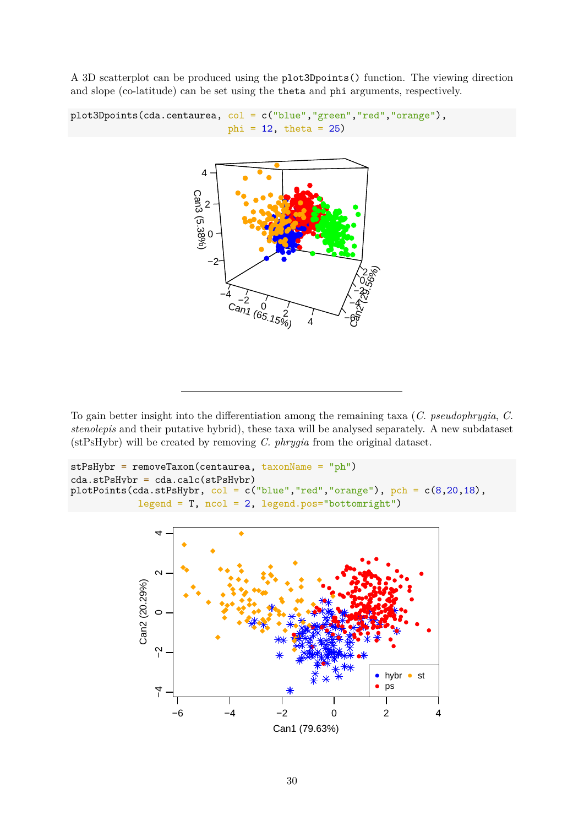A 3D scatterplot can be produced using the plot3Dpoints() function. The viewing direction and slope (co-latitude) can be set using the theta and phi arguments, respectively.

```
plot3Dpoints(cda.centaurea, col = c("blue","green","red","orange"),
                                phi = 12, theta = 25)
                         Can3 (5.38%)
                           2
                          4
```


To gain better insight into the differentiation among the remaining taxa (*C. pseudophrygia*, *C. stenolepis* and their putative hybrid), these taxa will be analysed separately. A new subdataset (stPsHybr) will be created by removing *C. phrygia* from the original dataset.

```
stPsHybr = removeTaxon(centaurea, taxonName = "ph")
cda.stPsHybr = cda.calc(stPsHybr)
plotPoints(cda.stPsHybr, col = c("blue", "red", "orange"), pch = c(8, 20, 18),legend = T, ncol = 2, legend.pos="bottomright")
```
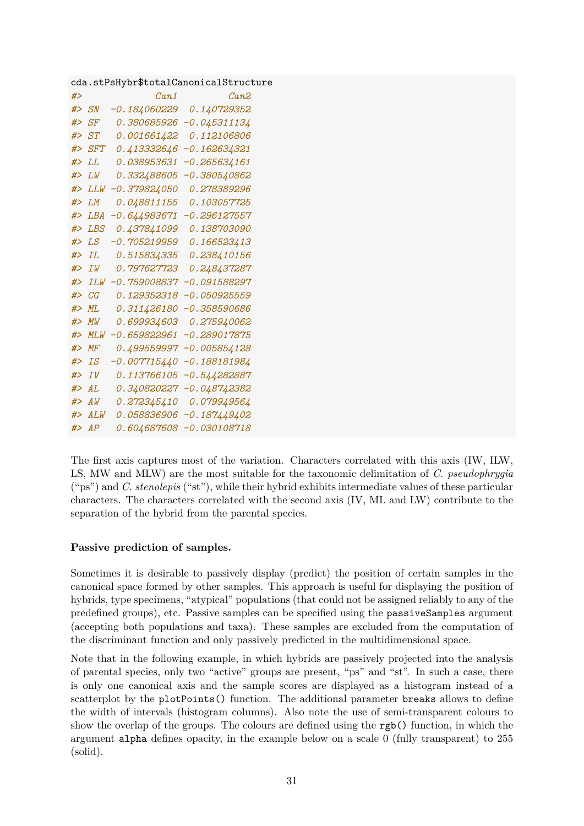|        |              |                | cda.stPsHybr\$totalCanonicalStructure |
|--------|--------------|----------------|---------------------------------------|
| #>     |              | Can1           | Can2                                  |
|        | #> SN        | $-0.184060229$ | 0.140729352                           |
|        | #> $SF$      | 0.380685926    | $-0.045311134$                        |
|        | # > ST       | 0.001661422    | 0.112106806                           |
|        | #> SFT       | 0.413332646    | $-0.162634321$                        |
| #      |              | 0.038953631    | $-0.265634161$                        |
| #>     | T.W          | 0.332488605    | $-0.380540862$                        |
| #>     | LLW          | $-0.379824050$ | 0.278389296                           |
|        | $#$ > $LM$   | 0.048811155    | 0.103057725                           |
|        | $#$ > $I.BA$ | $-0.644983671$ | $-0.296127557$                        |
| #>     | LBS          | 0.437841099    | 0.138703090                           |
| #>     | LS           | $-0.705219959$ | 0.166523413                           |
| #>     | ΙL           | 0.515834335    | 0.238410156                           |
| #>     | TW           | 0.797627723    | 0.248437287                           |
| #>     | <b>ILW</b>   | $-0.759008837$ | $-0.091588297$                        |
|        | #> CG        | 0.129352318    | $-0.050925559$                        |
| #>     | ML.          | 0.311426180    | $-0.358590686$                        |
| #>     | MW           | 0.699934603    | 0.275940062                           |
| #>     | MT.W         | $-0.659822961$ | $-0.289017875$                        |
|        | #> $MF$      | 0.499559997    | $-0.005854128$                        |
|        | $#$ > IS     | $-0.007715440$ | $-0.188181984$                        |
| #>     | IV           | 0.113766105    | $-0.544282887$                        |
| # > AL |              | 0.340820227    | $-0.048742382$                        |
|        | # > AW       | 0.272345410    | 0.079949564                           |
|        | $#$ > $ALW$  | 0.058836906    | $-0.187449402$                        |
|        | #> AP        | 0.604687608    | $-0.030108718$                        |

The first axis captures most of the variation. Characters correlated with this axis (IW, ILW, LS, MW and MLW) are the most suitable for the taxonomic delimitation of *C. pseudophrygia* ("ps") and *C. stenolepis* ("st"), while their hybrid exhibits intermediate values of these particular characters. The characters correlated with the second axis (IV, ML and LW) contribute to the separation of the hybrid from the parental species.

### <span id="page-30-0"></span>**Passive prediction of samples.**

Sometimes it is desirable to passively display (predict) the position of certain samples in the canonical space formed by other samples. This approach is useful for displaying the position of hybrids, type specimens, "atypical" populations (that could not be assigned reliably to any of the predefined groups), etc. Passive samples can be specified using the passiveSamples argument (accepting both populations and taxa). These samples are excluded from the computation of the discriminant function and only passively predicted in the multidimensional space.

Note that in the following example, in which hybrids are passively projected into the analysis of parental species, only two "active" groups are present, "ps" and "st". In such a case, there is only one canonical axis and the sample scores are displayed as a histogram instead of a scatterplot by the plotPoints() function. The additional parameter breaks allows to define the width of intervals (histogram columns). Also note the use of semi-transparent colours to show the overlap of the groups. The colours are defined using the rgb() function, in which the argument alpha defines opacity, in the example below on a scale 0 (fully transparent) to 255 (solid).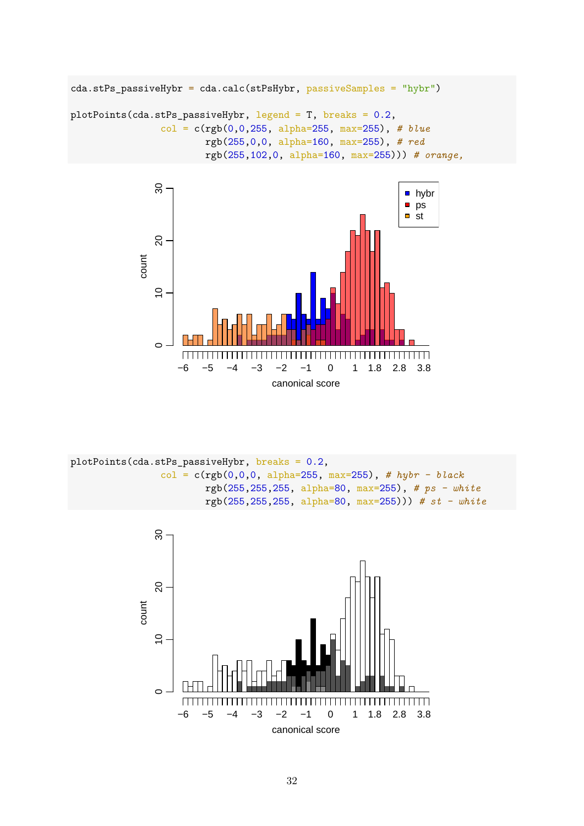```
cda.stPs_passiveHybr = cda.calc(stPsHybr, passiveSamples = "hybr")
plotPoints(cda.stPs_passiveHybr, legend = T, breaks = 0.2,
                col = c(rgb(0,0,255, alpha=255, max=255), # blue
                        rgb(255,0,0, alpha=160, max=255), # red
                        rgb(255,102,0, alpha=160, max=255))) # orange,
```


plotPoints(cda.stPs\_passiveHybr, breaks = 0.2, col = c(rgb(0,0,0, alpha=255, max=255), *# hybr - black* rgb(255,255,255, alpha=80, max=255), *# ps - white* rgb(255,255,255, alpha=80, max=255))) *# st - white*

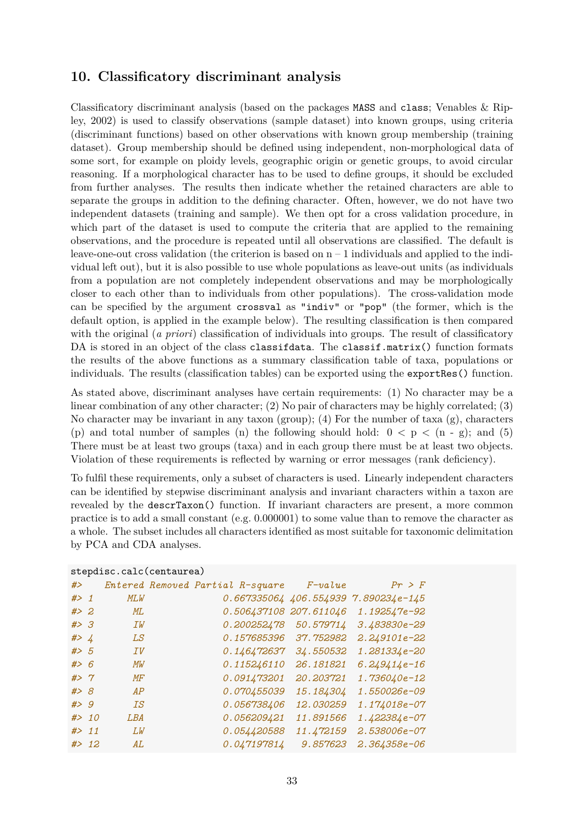## <span id="page-32-0"></span>**10. Classificatory discriminant analysis**

Classificatory discriminant analysis (based on the packages MASS and class; Venables & Ripley, 2002) is used to classify observations (sample dataset) into known groups, using criteria (discriminant functions) based on other observations with known group membership (training dataset). Group membership should be defined using independent, non-morphological data of some sort, for example on ploidy levels, geographic origin or genetic groups, to avoid circular reasoning. If a morphological character has to be used to define groups, it should be excluded from further analyses. The results then indicate whether the retained characters are able to separate the groups in addition to the defining character. Often, however, we do not have two independent datasets (training and sample). We then opt for a cross validation procedure, in which part of the dataset is used to compute the criteria that are applied to the remaining observations, and the procedure is repeated until all observations are classified. The default is leave-one-out cross validation (the criterion is based on  $n-1$  individuals and applied to the individual left out), but it is also possible to use whole populations as leave-out units (as individuals from a population are not completely independent observations and may be morphologically closer to each other than to individuals from other populations). The cross-validation mode can be specified by the argument crossval as "indiv" or "pop" (the former, which is the default option, is applied in the example below). The resulting classification is then compared with the original (*a priori*) classification of individuals into groups. The result of classificatory DA is stored in an object of the class classifdata. The classif.matrix() function formats the results of the above functions as a summary classification table of taxa, populations or individuals. The results (classification tables) can be exported using the exportRes() function.

As stated above, discriminant analyses have certain requirements: (1) No character may be a linear combination of any other character; (2) No pair of characters may be highly correlated; (3) No character may be invariant in any taxon (group); (4) For the number of taxa  $(g)$ , characters (p) and total number of samples (n) the following should hold:  $0 < p < (n - g)$ ; and (5) There must be at least two groups (taxa) and in each group there must be at least two objects. Violation of these requirements is reflected by warning or error messages (rank deficiency).

To fulfil these requirements, only a subset of characters is used. Linearly independent characters can be identified by stepwise discriminant analysis and invariant characters within a taxon are revealed by the descrTaxon() function. If invariant characters are present, a more common practice is to add a small constant (e.g. 0.000001) to some value than to remove the character as a whole. The subset includes all characters identified as most suitable for taxonomic delimitation by PCA and CDA analyses.

|        | stepdisc.calc(centaurea) |     |  |  |                                  |                        |                                            |  |  |  |  |
|--------|--------------------------|-----|--|--|----------------------------------|------------------------|--------------------------------------------|--|--|--|--|
| # $>$  |                          |     |  |  | Entered Removed Partial R-square | $F$ -value             | Pr > F                                     |  |  |  |  |
| $#$ 1  |                          | MLW |  |  |                                  |                        | $0.667335064$ $406.554939$ $7.890234e-145$ |  |  |  |  |
| # > 2  |                          | ML  |  |  |                                  | 0.506437108 207.611046 | 1.192547e-92                               |  |  |  |  |
| #> 3   |                          | IW  |  |  | 0.200252478                      | 50.579714              | 3.483830e-29                               |  |  |  |  |
| # > 4  |                          | LS  |  |  | 0.157685396                      | 37.752982              | 2.249101e-22                               |  |  |  |  |
| # > 5  |                          | ΙV  |  |  | 0.146472637                      | 34.550532              | 1.281334e-20                               |  |  |  |  |
| #> 6   |                          | МW  |  |  | 0.115246110                      | 26.181821              | $6.249414e-16$                             |  |  |  |  |
| #> 7   |                          | MF  |  |  | 0.091473201                      | 20.203721              | 1.736040e-12                               |  |  |  |  |
| #> 8   |                          | AP  |  |  | 0.070455039                      | 15.184304              | 1.550026e-09                               |  |  |  |  |
| # > 9  |                          | ΙS  |  |  | 0.056738406                      | 12.030259              | 1.174018e-07                               |  |  |  |  |
| # > 10 |                          | LBA |  |  | 0.056209421                      | 11.891566              | 1.422384e-07                               |  |  |  |  |
| # > 11 |                          | LW  |  |  | 0.054420588                      | 11.472159              | 2.538006e-07                               |  |  |  |  |
|        | # > 12                   | AL  |  |  | 0.047197814                      | 9.857623               | 2.364358e-06                               |  |  |  |  |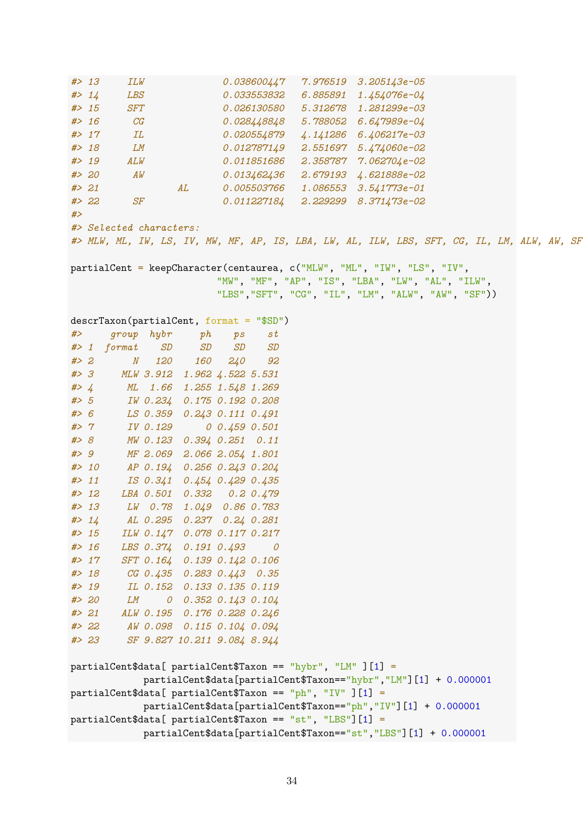*#> 13 ILW 0.038600447 7.976519 3.205143e-05 #> 14 LBS 0.033553832 6.885891 1.454076e-04 #> 15 SFT 0.026130580 5.312678 1.281299e-03 #> 16 CG 0.028448848 5.788052 6.647989e-04 #> 17 IL 0.020554879 4.141286 6.406217e-03 #> 18 LM 0.012787149 2.551697 5.474060e-02 #> 19 ALW 0.011851686 2.358787 7.062704e-02 #> 20 AW 0.013462436 2.679193 4.621888e-02 #> 21 AL 0.005503766 1.086553 3.541773e-01 #> 22 SF 0.011227184 2.229299 8.371473e-02 #> #> Selected characters: #> MLW, ML, IW, LS, IV, MW, MF, AP, IS, LBA, LW, AL, ILW, LBS, SFT, CG, IL, LM, ALW, AW, SF* partialCent = keepCharacter(centaurea, c("MLW", "ML", "IW", "LS", "IV", "MW", "MF", "AP", "IS", "LBA", "LW", "AL", "ILW", "LBS","SFT", "CG", "IL", "LM", "ALW", "AW", "SF")) descrTaxon(partialCent, format = "\$SD") *#> group hybr ph ps st #> 1 format SD SD SD SD #> 2 N 120 160 240 92 #> 3 MLW 3.912 1.962 4.522 5.531 #> 4 ML 1.66 1.255 1.548 1.269 #> 5 IW 0.234 0.175 0.192 0.208 #> 6 LS 0.359 0.243 0.111 0.491 #> 7 IV 0.129 0 0.459 0.501 #> 8 MW 0.123 0.394 0.251 0.11 #> 9 MF 2.069 2.066 2.054 1.801 #> 10 AP 0.194 0.256 0.243 0.204 #> 11 IS 0.341 0.454 0.429 0.435 #> 12 LBA 0.501 0.332 0.2 0.479 #> 13 LW 0.78 1.049 0.86 0.783 #> 14 AL 0.295 0.237 0.24 0.281 #> 15 ILW 0.147 0.078 0.117 0.217 #> 16 LBS 0.374 0.191 0.493 0 #> 17 SFT 0.164 0.139 0.142 0.106 #> 18 CG 0.435 0.283 0.443 0.35 #> 19 IL 0.152 0.133 0.135 0.119 #> 20 LM 0 0.352 0.143 0.104 #> 21 ALW 0.195 0.176 0.228 0.246 #> 22 AW 0.098 0.115 0.104 0.094 #> 23 SF 9.827 10.211 9.084 8.944* partialCent\$data[ partialCent\$Taxon == "hybr", "LM" ][1] = partialCent\$data[partialCent\$Taxon=="hybr","LM"][1] + 0.000001 partialCent\$data[ partialCent\$Taxon == "ph", "IV" ][1] = partialCent\$data[partialCent\$Taxon=="ph","IV"][1] + 0.000001 partialCent\$data[ partialCent\$Taxon == "st", "LBS"][1] = partialCent\$data[partialCent\$Taxon=="st","LBS"][1] + 0.000001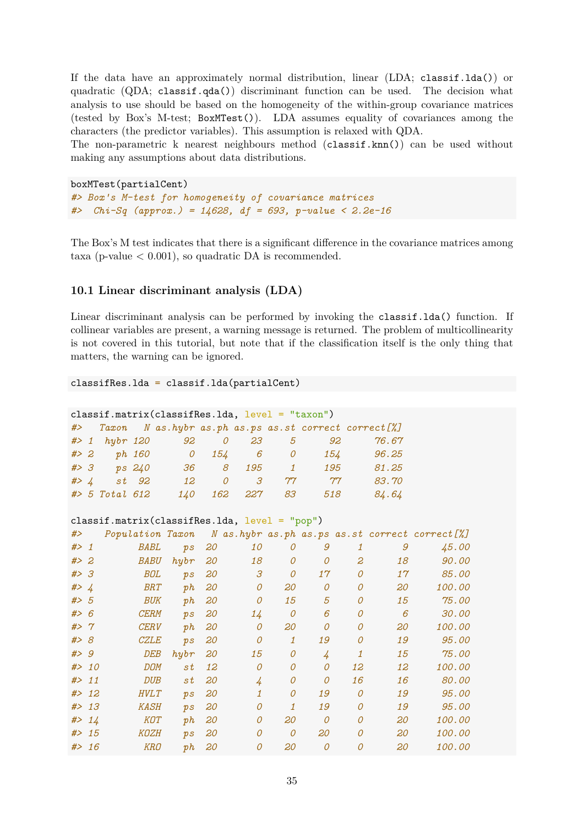If the data have an approximately normal distribution, linear (LDA; classif.lda()) or quadratic (QDA; classif.qda()) discriminant function can be used. The decision what analysis to use should be based on the homogeneity of the within-group covariance matrices (tested by Box's M-test; BoxMTest()). LDA assumes equality of covariances among the characters (the predictor variables). This assumption is relaxed with QDA.

The non-parametric k nearest neighbours method (classif.knn()) can be used without making any assumptions about data distributions.

```
boxMTest(partialCent)
#> Box's M-test for homogeneity of covariance matrices
#> Chi-Sq (approx.) = 14628, df = 693, p-value < 2.2e-16
```
The Box's M test indicates that there is a significant difference in the covariance matrices among taxa (p-value  $\lt$  0.001), so quadratic DA is recommended.

### <span id="page-34-0"></span>**10.1 Linear discriminant analysis (LDA)**

Linear discriminant analysis can be performed by invoking the classif.lda() function. If collinear variables are present, a warning message is returned. The problem of multicollinearity is not covered in this tutorial, but note that if the classification itself is the only thing that matters, the warning can be ignored.

#### classifRes.lda = classif.lda(partialCent)

| $classif.matrix(classifRes.lda, level = "taxon")$ |                                                          |                   |       |                  |   |                      |                  |                |       |  |  |
|---------------------------------------------------|----------------------------------------------------------|-------------------|-------|------------------|---|----------------------|------------------|----------------|-------|--|--|
|                                                   | #> Taxon N as.hybr as.ph as.ps as.st correct correct [%] |                   |       |                  |   |                      |                  |                |       |  |  |
|                                                   |                                                          |                   |       | #> 1 hybr 120 92 |   | 23<br>$\overline{0}$ | 5                | 92             | 76.67 |  |  |
| # > 2                                             |                                                          |                   |       | <i>ph</i> 160 0  |   |                      | 154 6 0          | 154            | 96.25 |  |  |
|                                                   |                                                          | $# > 3$ ps $240$  |       | 36               | 8 | 195                  | $\overline{1}$   | 195            | 81.25 |  |  |
| #> $\sqrt{4}$                                     |                                                          |                   | st 92 | 12               | 0 |                      | $3 \frac{77}{7}$ | $\gamma\gamma$ | 83.70 |  |  |
|                                                   |                                                          | $#$ > 5 Total 612 |       | 140 -            |   | 162 227              | 83               | 518            | 84.64 |  |  |

```
classif.matrix(classifRes.lda, level = "pop")
```

| #>     |        | Population Taxon |                   |    |                |                |                |                |    | N as.hybr as.ph as.ps as.st correct correct [%] |
|--------|--------|------------------|-------------------|----|----------------|----------------|----------------|----------------|----|-------------------------------------------------|
| # > 1  |        | BABL             | $p_{\mathcal{S}}$ | 20 | <i>10</i>      | 0              | 9              | 1              | 9  | <i>45.00</i>                                    |
| # > 2  |        | <b>BABU</b>      | h y b r           | 20 | 18             | 0              | 0              | 2              | 18 | <i>90.00</i>                                    |
| #> 3   |        | <b>BOL</b>       | $p_{\mathcal{S}}$ | 20 | 3              | $\overline{O}$ | 17             | 0              | 17 | 85.00                                           |
| # > 4  |        | <b>BRT</b>       | ph                | 20 | $\overline{O}$ | 20             | $\overline{O}$ | $\overline{O}$ | 20 | <i>100.00</i>                                   |
| # > 5  |        | BUK              | ph                | 20 | 0              | 15             | 5              | $\overline{O}$ | 15 | 75.00                                           |
| #> 6   |        | <b>CERM</b>      | $p_{\mathcal{S}}$ | 20 | 14             | 0              | 6              | $\Omega$       | 6  | 30.00                                           |
| #> 7   |        | <b>CERV</b>      | ph                | 20 | 0              | 20             | $\Omega$       | $\Omega$       | 20 | <i>100.00</i>                                   |
| #> 8   |        | <i>CZLE</i>      | $p_{\mathcal{S}}$ | 20 | 0              | 1              | 19             | $\Omega$       | 19 | 95.00                                           |
| #> 9   |        | DEB              | h y b r           | 20 | 15             | $\overline{O}$ | 4              | 1              | 15 | 75.00                                           |
|        | # > 10 | <i>DOM</i>       | st                | 12 | $\Omega$       | $\overline{O}$ | $\Omega$       | 12             | 12 | <i>100.00</i>                                   |
| # > 11 |        | <b>DUB</b>       | st                | 20 | $\frac{1}{4}$  | 0              | $\Omega$       | 16             | 16 | 80.00                                           |
|        | # > 12 | <b>HVLT</b>      | $p_{\mathcal{S}}$ | 20 |                | $\overline{O}$ | 19             | $\Omega$       | 19 | 95.00                                           |
| # > 13 |        | <i>KASH</i>      | $p_{\mathcal{S}}$ | 20 | 0              | 1              | 19             | 0              | 19 | 95.00                                           |
| #>     | 14     | <i>KOT</i>       | p h               | 20 | 0              | 20             | $\Omega$       | $\Omega$       | 20 | <i>100.00</i>                                   |
| # > 15 |        | <i>KOZH</i>      | $\n  p$           | 20 | 0              | $\overline{O}$ | 20             | $\Omega$       | 20 | <i>100.00</i>                                   |
| # > 16 |        | <b>KRO</b>       | p h               | 20 | 0              | 20             | $\overline{O}$ | 0              | 20 | <i>100.00</i>                                   |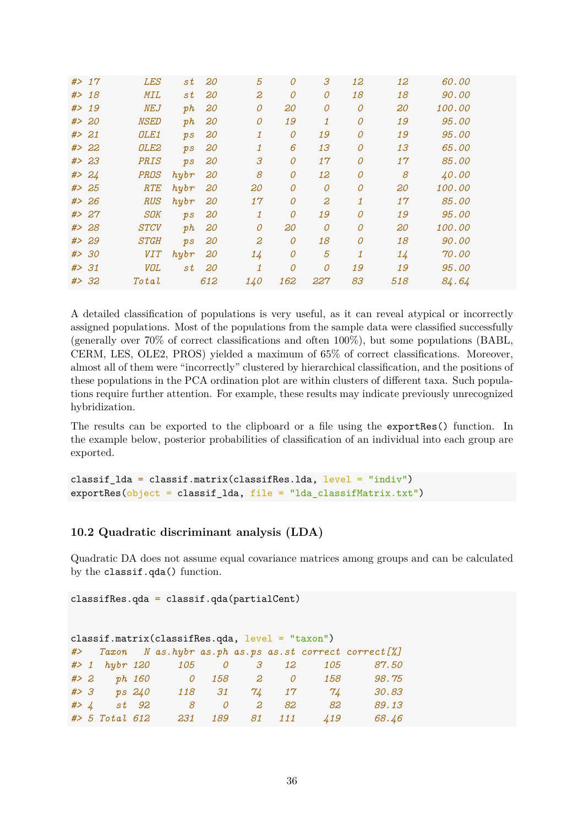| # > 17 | <b>LES</b>       | st                | 20  | 5   | $\overline{O}$ | 3              | 12             | 12  | 60.00         |  |
|--------|------------------|-------------------|-----|-----|----------------|----------------|----------------|-----|---------------|--|
| # > 18 | <b>MIL</b>       | st                | 20  | 2   | 0              | $\mathcal O$   | 18             | 18  | 90.00         |  |
| # > 19 | NEJ              | ph                | 20  | 0   | 20             | 0              | $\mathcal O$   | 20  | <i>100.00</i> |  |
| # > 20 | <b>NSED</b>      | ph                | 20  | 0   | 19             | 1              | $\overline{O}$ | 19  | 95.00         |  |
| # > 21 | OLE <sub>1</sub> | p s               | 20  | 1   | 0              | 19             | 0              | 19  | 95.00         |  |
| # > 22 | OLE2             | $p_{\mathcal{S}}$ | 20  | 1   | 6              | 13             | $\mathcal O$   | 13  | 65.00         |  |
| # > 23 | <b>PRIS</b>      | $p_{\mathcal{S}}$ | 20  | 3   | $\mathcal O$   | 17             | $\overline{O}$ | 17  | 85.00         |  |
| # > 24 | <b>PROS</b>      | h y b r           | 20  | 8   | 0              | 12             | 0              | 8   | 40.00         |  |
| # > 25 | RTE              | h y b r           | 20  | 20  | 0              | 0              | $\mathcal O$   | 20  | <i>100.00</i> |  |
| # > 26 | <b>RUS</b>       | h y b r           | 20  | 17  | $\mathcal O$   | 2              | 1              | 17  | 85.00         |  |
| # > 27 | <b>SOK</b>       | p s               | 20  | 1   | 0              | 19             | 0              | 19  | 95.00         |  |
| # > 28 | <b>STCV</b>      | ph                | 20  | 0   | 20             | $\overline{O}$ | $\mathcal O$   | 20  | 100.00        |  |
| # > 29 | <b>STGH</b>      | p s               | 20  | 2   | $\mathcal O$   | 18             | $\overline{O}$ | 18  | 90.00         |  |
| # > 30 | <b>VIT</b>       | h y b r           | 20  | 14  | 0              | 5              | $\mathbf{1}$   | 14  | 70.00         |  |
| # > 31 | VOL              | st                | 20  | 1   | 0              | $\mathcal O$   | 19             | 19  | 95.00         |  |
| # > 32 | Total            |                   | 612 | 140 | 162            | 227            | 83             | 518 | 84.64         |  |
|        |                  |                   |     |     |                |                |                |     |               |  |

A detailed classification of populations is very useful, as it can reveal atypical or incorrectly assigned populations. Most of the populations from the sample data were classified successfully (generally over 70% of correct classifications and often 100%), but some populations (BABL, CERM, LES, OLE2, PROS) yielded a maximum of 65% of correct classifications. Moreover, almost all of them were "incorrectly" clustered by hierarchical classification, and the positions of these populations in the PCA ordination plot are within clusters of different taxa. Such populations require further attention. For example, these results may indicate previously unrecognized hybridization.

The results can be exported to the clipboard or a file using the exportRes() function. In the example below, posterior probabilities of classification of an individual into each group are exported.

classif\_lda = classif.matrix(classifRes.lda, level = "indiv") exportRes(object = classif\_lda, file = "lda\_classifMatrix.txt")

### <span id="page-35-0"></span>**10.2 Quadratic discriminant analysis (LDA)**

Quadratic DA does not assume equal covariance matrices among groups and can be calculated by the classif.qda() function.

classifRes.qda = classif.qda(partialCent)

| $classif.matrix(classifRes.qda, level = "taxon")$ |  |                   |  |                             |                          |                          |              |             |                                                          |  |  |
|---------------------------------------------------|--|-------------------|--|-----------------------------|--------------------------|--------------------------|--------------|-------------|----------------------------------------------------------|--|--|
|                                                   |  |                   |  |                             |                          |                          |              |             | #> Taxon N as.hybr as.ph as.ps as.st correct correct [%] |  |  |
|                                                   |  |                   |  | $\#$ 1 hybr 120 105 0 3 12  |                          |                          |              | 105         | 87.50                                                    |  |  |
|                                                   |  |                   |  | $\#$ 2 ph 160 0 158 2 0 158 |                          |                          |              |             | 98.75                                                    |  |  |
|                                                   |  | $# > 3$ ps $240$  |  |                             |                          |                          | 118 31 74 17 | 7/4         | 30.83                                                    |  |  |
|                                                   |  | $# > 4$ st 92     |  | 8 <sup>7</sup>              | $\overline{\mathcal{O}}$ | $\overline{\phantom{a}}$ | 82           | 82          | 89.13                                                    |  |  |
|                                                   |  | $#$ > 5 Total 612 |  |                             | 231 189 81 111           |                          |              | $\angle 19$ | 68.46                                                    |  |  |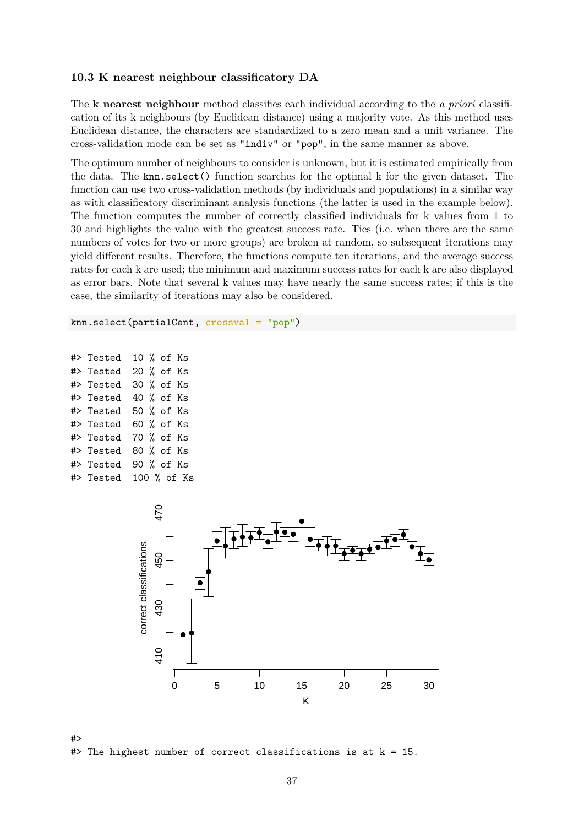### <span id="page-36-0"></span>**10.3 K nearest neighbour classificatory DA**

The **k nearest neighbour** method classifies each individual according to the *a priori* classification of its k neighbours (by Euclidean distance) using a majority vote. As this method uses Euclidean distance, the characters are standardized to a zero mean and a unit variance. The cross-validation mode can be set as "indiv" or "pop", in the same manner as above.

The optimum number of neighbours to consider is unknown, but it is estimated empirically from the data. The knn.select() function searches for the optimal k for the given dataset. The function can use two cross-validation methods (by individuals and populations) in a similar way as with classificatory discriminant analysis functions (the latter is used in the example below). The function computes the number of correctly classified individuals for k values from 1 to 30 and highlights the value with the greatest success rate. Ties (i.e. when there are the same numbers of votes for two or more groups) are broken at random, so subsequent iterations may yield different results. Therefore, the functions compute ten iterations, and the average success rates for each k are used; the minimum and maximum success rates for each k are also displayed as error bars. Note that several k values may have nearly the same success rates; if this is the case, the similarity of iterations may also be considered.

knn.select(partialCent, crossval = "pop")

```
#> Tested 10 % of Ks
#> Tested 20 % of Ks
#> Tested 30 % of Ks
#> Tested 40 % of Ks
#> Tested 50 % of Ks
#> Tested 60 % of Ks
#> Tested 70 % of Ks
#> Tested 80 % of Ks
#> Tested 90 % of Ks
#> Tested 100 % of Ks
```


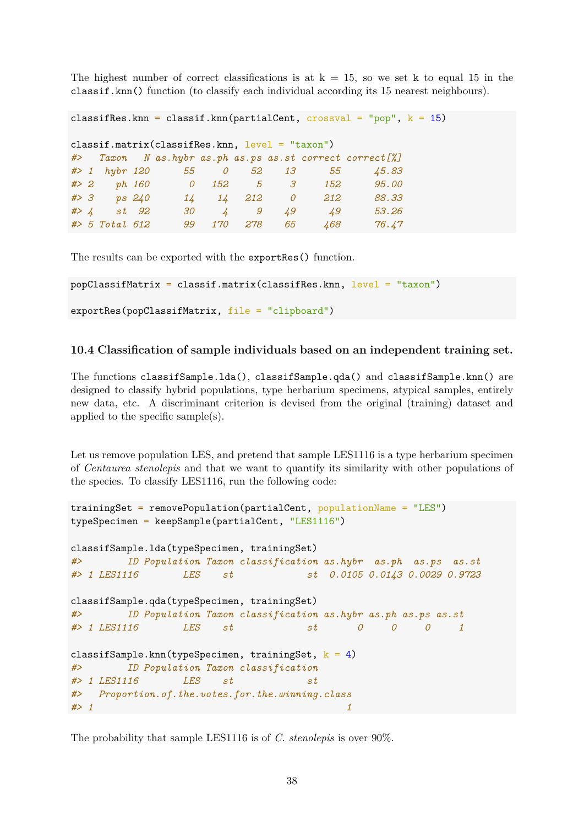The highest number of correct classifications is at  $k = 15$ , so we set k to equal 15 in the classif.knn() function (to classify each individual according its 15 nearest neighbours).

```
classifRes.knn = classif.knn(partialCent, crossval = "pop", k = 15)
classif.matrix(classifRes.knn, level = "taxon")
#> Taxon N as.hybr as.ph as.ps as.st correct correct[%]
#> 1 hybr 120 55 0 52 13 55 45.83
#> 2 ph 160 0 152 5 3 152 95.00
#> 3 ps 240 14 14 212 0 212 88.33
#> 4 st 92 30 4 9 49 49 53.26
#> 5 Total 612 99 170 278 65 468 76.47
```
The results can be exported with the exportRes() function.

```
popClassifMatrix = classif.matrix(classifRes.knn, level = "taxon")
exportRes(popClassifMatrix, file = "clipboard")
```
### <span id="page-37-0"></span>**10.4 Classification of sample individuals based on an independent training set.**

The functions classifSample.lda(), classifSample.qda() and classifSample.knn() are designed to classify hybrid populations, type herbarium specimens, atypical samples, entirely new data, etc. A discriminant criterion is devised from the original (training) dataset and applied to the specific sample(s).

Let us remove population LES, and pretend that sample LES1116 is a type herbarium specimen of *Centaurea stenolepis* and that we want to quantify its similarity with other populations of the species. To classify LES1116, run the following code:

```
trainingSet = removePopulation(partialCent, populationName = "LES")
typeSpecimen = keepSample(partialCent, "LES1116")
classifSample.lda(typeSpecimen, trainingSet)
#> ID Population Taxon classification as.hybr as.ph as.ps as.st
#> 1 LES1116 LES st st 0.0105 0.0143 0.0029 0.9723
classifSample.qda(typeSpecimen, trainingSet)
#> ID Population Taxon classification as.hybr as.ph as.ps as.st
#> 1 LES1116 LES st st 0 0 0 1
classifSample.knn(typeSpecimen, trainingSet, k = 4)
#> ID Population Taxon classification
#> 1 LES1116 LES st st
#> Proportion.of.the.votes.for.the.winning.class
#> 1 1
```
The probability that sample LES1116 is of *C. stenolepis* is over 90%.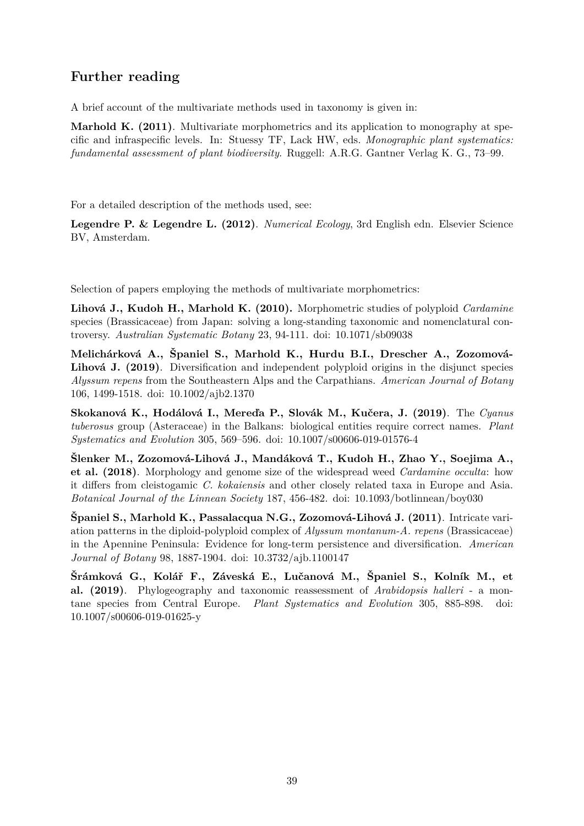## <span id="page-38-0"></span>**Further reading**

A brief account of the multivariate methods used in taxonomy is given in:

**Marhold K. (2011)**. Multivariate morphometrics and its application to monography at specific and infraspecific levels. In: Stuessy TF, Lack HW, eds. *Monographic plant systematics: fundamental assessment of plant biodiversity*. Ruggell: A.R.G. Gantner Verlag K. G., 73–99.

For a detailed description of the methods used, see:

**Legendre P. & Legendre L. (2012)**. *Numerical Ecology*, 3rd English edn. Elsevier Science BV, Amsterdam.

Selection of papers employing the methods of multivariate morphometrics:

**Lihová J., Kudoh H., Marhold K. (2010).** Morphometric studies of polyploid *Cardamine* species (Brassicaceae) from Japan: solving a long-standing taxonomic and nomenclatural controversy. *Australian Systematic Botany* 23, 94-111. doi: 10.1071/sb09038

**Melichárková A., Španiel S., Marhold K., Hurdu B.I., Drescher A., Zozomová-Lihová J. (2019)**. Diversification and independent polyploid origins in the disjunct species *Alyssum repens* from the Southeastern Alps and the Carpathians. *American Journal of Botany* 106, 1499-1518. doi: 10.1002/ajb2.1370

**Skokanová K., Hodálová I., Mereďa P., Slovák M., Kučera, J. (2019)**. The *Cyanus tuberosus* group (Asteraceae) in the Balkans: biological entities require correct names. *Plant Systematics and Evolution* 305, 569–596. doi: 10.1007/s00606-019-01576-4

**Šlenker M., Zozomová-Lihová J., Mandáková T., Kudoh H., Zhao Y., Soejima A., et al. (2018)**. Morphology and genome size of the widespread weed *Cardamine occulta*: how it differs from cleistogamic *C. kokaiensis* and other closely related taxa in Europe and Asia. *Botanical Journal of the Linnean Society* 187, 456-482. doi: 10.1093/botlinnean/boy030

**Španiel S., Marhold K., Passalacqua N.G., Zozomová-Lihová J. (2011)**. Intricate variation patterns in the diploid-polyploid complex of *Alyssum montanum-A. repens* (Brassicaceae) in the Apennine Peninsula: Evidence for long-term persistence and diversification. *American Journal of Botany* 98, 1887-1904. doi: 10.3732/ajb.1100147

**Šrámková G., Kolář F., Záveská E., Lučanová M., Španiel S., Kolník M., et al. (2019)**. Phylogeography and taxonomic reassessment of *Arabidopsis halleri* - a montane species from Central Europe. *Plant Systematics and Evolution* 305, 885-898. doi: 10.1007/s00606-019-01625-y